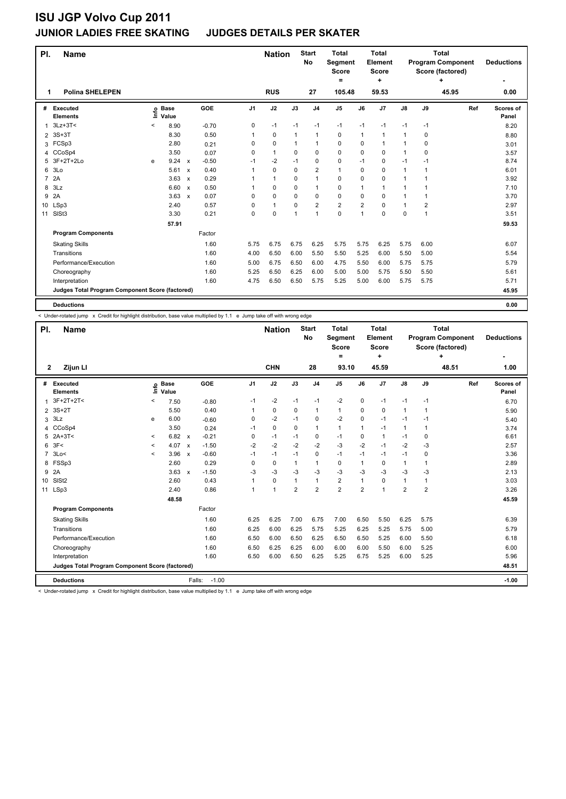#### **JUNIOR LADIES FREE SKATING JUDGES DETAILS PER SKATER**

| PI.            | <b>Name</b>                                     |         |                            |                           |         |      | <b>Nation</b> |             | <b>Start</b><br><b>No</b> | <b>Total</b><br><b>Segment</b><br><b>Score</b><br>= |                | <b>Total</b><br>Element<br>Score<br>÷ |               |      | <b>Total</b><br><b>Program Component</b><br>Score (factored)<br>4 | <b>Deductions</b>  |
|----------------|-------------------------------------------------|---------|----------------------------|---------------------------|---------|------|---------------|-------------|---------------------------|-----------------------------------------------------|----------------|---------------------------------------|---------------|------|-------------------------------------------------------------------|--------------------|
| 1              | <b>Polina SHELEPEN</b>                          |         |                            |                           |         |      | <b>RUS</b>    |             | 27                        | 105.48                                              |                | 59.53                                 |               |      | 45.95                                                             | 0.00               |
| #              | Executed<br><b>Elements</b>                     |         | e Base<br>E Value<br>Value |                           | GOE     | J1   | J2            | J3          | J <sub>4</sub>            | J <sub>5</sub>                                      | J6             | J7                                    | $\mathsf{J}8$ | J9   | Ref                                                               | Scores of<br>Panel |
| 1              | $3Lz + 3T <$                                    | $\,<\,$ | 8.90                       |                           | $-0.70$ | 0    | $-1$          | $-1$        | $-1$                      | $-1$                                                | $-1$           | $-1$                                  | $-1$          | $-1$ |                                                                   | 8.20               |
| $\overline{2}$ | $3S+3T$                                         |         | 8.30                       |                           | 0.50    |      | 0             | $\mathbf 1$ | $\mathbf{1}$              | 0                                                   | 1              | 1                                     | $\mathbf{1}$  | 0    |                                                                   | 8.80               |
| 3              | FCSp3                                           |         | 2.80                       |                           | 0.21    | 0    | $\mathbf 0$   | 1           | $\mathbf{1}$              | 0                                                   | 0              | 1                                     | 1             | 0    |                                                                   | 3.01               |
| 4              | CCoSp4                                          |         | 3.50                       |                           | 0.07    | 0    | $\mathbf{1}$  | $\Omega$    | $\mathbf 0$               | $\mathbf 0$                                         | 0              | $\mathbf 0$                           | $\mathbf{1}$  | 0    |                                                                   | 3.57               |
| 5              | 3F+2T+2Lo                                       | e       | 9.24                       | $\mathsf{x}$              | $-0.50$ | $-1$ | $-2$          | $-1$        | $\mathbf 0$               | 0                                                   | $-1$           | 0                                     | $-1$          | $-1$ |                                                                   | 8.74               |
| 6              | 3Lo                                             |         | 5.61                       | $\mathsf{x}$              | 0.40    |      | $\Omega$      | $\Omega$    | $\overline{2}$            | $\mathbf{1}$                                        | 0              | 0                                     | 1             | 1    |                                                                   | 6.01               |
| $\overline{7}$ | 2A                                              |         | 3.63                       | $\boldsymbol{\mathsf{x}}$ | 0.29    |      | $\mathbf{1}$  | 0           | $\mathbf{1}$              | 0                                                   | 0              | 0                                     | 1             | 1    |                                                                   | 3.92               |
| 8              | 3Lz                                             |         | 6.60                       | $\mathsf{x}$              | 0.50    |      | $\mathbf 0$   | $\Omega$    | $\mathbf{1}$              | $\mathbf 0$                                         | 1              | 1                                     | 1             | 1    |                                                                   | 7.10               |
| 9              | 2A                                              |         | 3.63                       | $\mathsf{x}$              | 0.07    | 0    | $\mathbf 0$   | 0           | 0                         | 0                                                   | 0              | 0                                     | 1             | 1    |                                                                   | 3.70               |
| 10             | LSp3                                            |         | 2.40                       |                           | 0.57    | 0    | $\mathbf{1}$  | $\Omega$    | $\overline{2}$            | $\overline{2}$                                      | $\overline{2}$ | $\Omega$                              | 1             | 2    |                                                                   | 2.97               |
| 11             | SISt <sub>3</sub>                               |         | 3.30                       |                           | 0.21    | 0    | $\mathbf 0$   | 1           | $\mathbf{1}$              | 0                                                   | 1              | 0                                     | 0             | 1    |                                                                   | 3.51               |
|                |                                                 |         | 57.91                      |                           |         |      |               |             |                           |                                                     |                |                                       |               |      |                                                                   | 59.53              |
|                | <b>Program Components</b>                       |         |                            |                           | Factor  |      |               |             |                           |                                                     |                |                                       |               |      |                                                                   |                    |
|                | <b>Skating Skills</b>                           |         |                            |                           | 1.60    | 5.75 | 6.75          | 6.75        | 6.25                      | 5.75                                                | 5.75           | 6.25                                  | 5.75          | 6.00 |                                                                   | 6.07               |
|                | Transitions                                     |         |                            |                           | 1.60    | 4.00 | 6.50          | 6.00        | 5.50                      | 5.50                                                | 5.25           | 6.00                                  | 5.50          | 5.00 |                                                                   | 5.54               |
|                | Performance/Execution                           |         |                            |                           | 1.60    | 5.00 | 6.75          | 6.50        | 6.00                      | 4.75                                                | 5.50           | 6.00                                  | 5.75          | 5.75 |                                                                   | 5.79               |
|                | Choreography                                    |         |                            |                           | 1.60    | 5.25 | 6.50          | 6.25        | 6.00                      | 5.00                                                | 5.00           | 5.75                                  | 5.50          | 5.50 |                                                                   | 5.61               |
|                | Interpretation                                  |         |                            |                           | 1.60    | 4.75 | 6.50          | 6.50        | 5.75                      | 5.25                                                | 5.00           | 6.00                                  | 5.75          | 5.75 |                                                                   | 5.71               |
|                | Judges Total Program Component Score (factored) |         |                            |                           |         |      |               |             |                           |                                                     |                |                                       |               |      |                                                                   | 45.95              |
|                | <b>Deductions</b>                               |         |                            |                           |         |      |               |             |                           |                                                     |                |                                       |               |      |                                                                   | 0.00               |

< Under-rotated jump x Credit for highlight distribution, base value multiplied by 1.1 e Jump take off with wrong edge

| PI.            | <b>Name</b>                                     |              |                            |                                      |                | <b>Nation</b>  |                | <b>Start</b><br>No | <b>Total</b><br>Segment<br><b>Score</b><br>٠ |                | Total<br>Element<br>Score<br>٠ |                |                | Total<br><b>Program Component</b><br>Score (factored)<br>÷ | <b>Deductions</b>  |
|----------------|-------------------------------------------------|--------------|----------------------------|--------------------------------------|----------------|----------------|----------------|--------------------|----------------------------------------------|----------------|--------------------------------|----------------|----------------|------------------------------------------------------------|--------------------|
| $\mathbf{2}$   | Zijun LI                                        |              |                            |                                      |                | <b>CHN</b>     |                | 28                 | 93.10                                        |                | 45.59                          |                |                | 48.51                                                      | 1.00               |
| #              | Executed<br><b>Elements</b>                     |              | e Base<br>E Value<br>Value | GOE                                  | J <sub>1</sub> | J2             | J3             | J <sub>4</sub>     | J <sub>5</sub>                               | J6             | J7                             | $\mathsf{J}8$  | J9             | Ref                                                        | Scores of<br>Panel |
| 1              | $3F+2T+2T<$                                     | $\,<\,$      | 7.50                       | $-0.80$                              | $-1$           | $-2$           | $-1$           | $-1$               | $-2$                                         | 0              | $-1$                           | $-1$           | $-1$           |                                                            | 6.70               |
| 2              | 3S+2T                                           |              | 5.50                       | 0.40                                 | 1              | 0              | $\Omega$       | $\mathbf{1}$       | $\mathbf{1}$                                 | $\Omega$       | 0                              | $\mathbf{1}$   | -1             |                                                            | 5.90               |
| 3              | 3Lz                                             | е            | 6.00                       | $-0.60$                              | 0              | $-2$           | $-1$           | 0                  | $-2$                                         | $\Omega$       | $-1$                           | $-1$           | $-1$           |                                                            | 5.40               |
| 4              | CCoSp4                                          |              | 3.50                       | 0.24                                 | $-1$           | 0              | $\Omega$       | $\mathbf{1}$       | $\mathbf{1}$                                 | 1              | $-1$                           | $\mathbf{1}$   | 1              |                                                            | 3.74               |
| 5              | $2A+3T<$                                        | $\checkmark$ | 6.82                       | $-0.21$<br>$\boldsymbol{\mathsf{x}}$ | 0              | $-1$           | $-1$           | 0                  | $-1$                                         | 0              | 1                              | $-1$           | 0              |                                                            | 6.61               |
| 6              | 3F<                                             | $\prec$      | 4.07                       | $-1.50$<br>$\mathsf{x}$              | $-2$           | $-2$           | $-2$           | $-2$               | $-3$                                         | $-2$           | $-1$                           | $-2$           | -3             |                                                            | 2.57               |
| $\overline{7}$ | 3Lo<                                            | $\prec$      | 3.96                       | $-0.60$<br>$\boldsymbol{\mathsf{x}}$ | $-1$           | $-1$           | $-1$           | $\mathbf 0$        | $-1$                                         | $-1$           | $-1$                           | $-1$           | 0              |                                                            | 3.36               |
| 8              | FSSp3                                           |              | 2.60                       | 0.29                                 | 0              | 0              | $\mathbf{1}$   | $\mathbf{1}$       | 0                                            | 1              | 0                              | $\mathbf{1}$   | 1              |                                                            | 2.89               |
| 9              | 2A                                              |              | 3.63                       | $-1.50$<br>$\boldsymbol{\mathsf{x}}$ | $-3$           | $-3$           | -3             | $-3$               | $-3$                                         | $-3$           | $-3$                           | $-3$           | $-3$           |                                                            | 2.13               |
| 10             | SIS <sub>t2</sub>                               |              | 2.60                       | 0.43                                 |                | $\mathbf 0$    | $\mathbf{1}$   | $\mathbf{1}$       | $\overline{2}$                               | $\mathbf{1}$   | $\mathbf 0$                    | $\mathbf{1}$   | 1              |                                                            | 3.03               |
| 11             | LSp3                                            |              | 2.40                       | 0.86                                 |                | $\overline{1}$ | $\overline{2}$ | $\overline{2}$     | $\overline{2}$                               | $\overline{2}$ | 1                              | $\overline{2}$ | $\overline{2}$ |                                                            | 3.26               |
|                |                                                 |              | 48.58                      |                                      |                |                |                |                    |                                              |                |                                |                |                |                                                            | 45.59              |
|                | <b>Program Components</b>                       |              |                            | Factor                               |                |                |                |                    |                                              |                |                                |                |                |                                                            |                    |
|                | <b>Skating Skills</b>                           |              |                            | 1.60                                 | 6.25           | 6.25           | 7.00           | 6.75               | 7.00                                         | 6.50           | 5.50                           | 6.25           | 5.75           |                                                            | 6.39               |
|                | Transitions                                     |              |                            | 1.60                                 | 6.25           | 6.00           | 6.25           | 5.75               | 5.25                                         | 6.25           | 5.25                           | 5.75           | 5.00           |                                                            | 5.79               |
|                | Performance/Execution                           |              |                            | 1.60                                 | 6.50           | 6.00           | 6.50           | 6.25               | 6.50                                         | 6.50           | 5.25                           | 6.00           | 5.50           |                                                            | 6.18               |
|                | Choreography                                    |              |                            | 1.60                                 | 6.50           | 6.25           | 6.25           | 6.00               | 6.00                                         | 6.00           | 5.50                           | 6.00           | 5.25           |                                                            | 6.00               |
|                | Interpretation                                  |              |                            | 1.60                                 | 6.50           | 6.00           | 6.50           | 6.25               | 5.25                                         | 6.75           | 5.25                           | 6.00           | 5.25           |                                                            | 5.96               |
|                | Judges Total Program Component Score (factored) |              |                            |                                      |                |                |                |                    |                                              |                |                                |                |                |                                                            | 48.51              |
|                | <b>Deductions</b>                               |              |                            | Falls:                               | $-1.00$        |                |                |                    |                                              |                |                                |                |                |                                                            | $-1.00$            |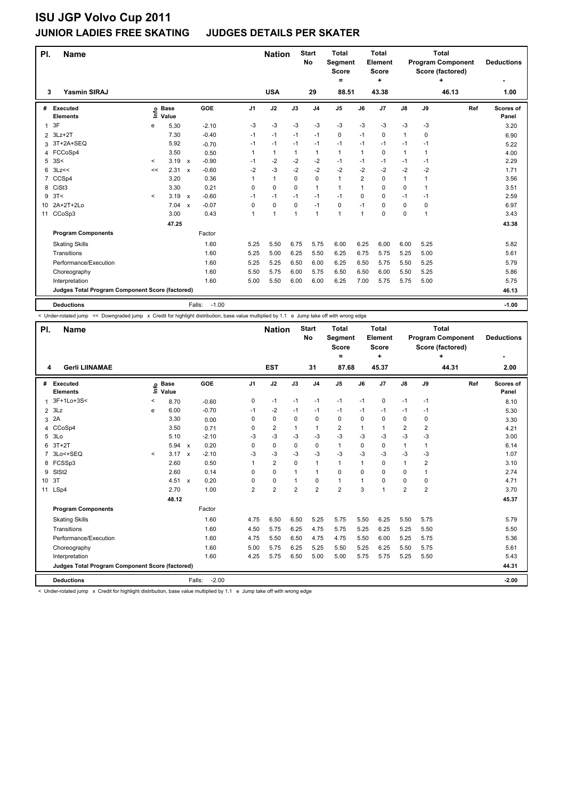#### **JUNIOR LADIES FREE SKATING JUDGES DETAILS PER SKATER**

| PI.            | <b>Name</b>                                     |         |                            |                           |                   |                | <b>Nation</b> |              | <b>Start</b><br>No | <b>Total</b><br>Segment<br><b>Score</b><br>۰ |                | <b>Total</b><br>Element<br><b>Score</b><br>÷ |               |          | <b>Total</b><br><b>Program Component</b><br>Score (factored)<br>÷ | <b>Deductions</b>  |
|----------------|-------------------------------------------------|---------|----------------------------|---------------------------|-------------------|----------------|---------------|--------------|--------------------|----------------------------------------------|----------------|----------------------------------------------|---------------|----------|-------------------------------------------------------------------|--------------------|
| 3              | <b>Yasmin SIRAJ</b>                             |         |                            |                           |                   |                | <b>USA</b>    |              | 29                 | 88.51                                        |                | 43.38                                        |               |          | 46.13                                                             | 1.00               |
| #              | Executed<br><b>Elements</b>                     |         | e Base<br>E Value<br>Value |                           | GOE               | J <sub>1</sub> | J2            | J3           | J <sub>4</sub>     | J <sub>5</sub>                               | J6             | J7                                           | $\mathsf{J}8$ | J9       | Ref                                                               | Scores of<br>Panel |
| 1              | 3F                                              | е       | 5.30                       |                           | $-2.10$           | -3             | -3            | -3           | $-3$               | $-3$                                         | $-3$           | -3                                           | $-3$          | -3       |                                                                   | 3.20               |
| $\overline{2}$ | $3Lz + 2T$                                      |         | 7.30                       |                           | $-0.40$           | $-1$           | $-1$          | $-1$         | $-1$               | 0                                            | $-1$           | $\Omega$                                     | 1             | $\Omega$ |                                                                   | 6.90               |
| 3              | 3T+2A+SEQ                                       |         | 5.92                       |                           | $-0.70$           | $-1$           | $-1$          | $-1$         | $-1$               | $-1$                                         | $-1$           | $-1$                                         | $-1$          | $-1$     |                                                                   | 5.22               |
| 4              | FCCoSp4                                         |         | 3.50                       |                           | 0.50              | 1              | $\mathbf{1}$  | 1            | $\mathbf{1}$       | $\mathbf{1}$                                 | 1              | $\mathbf 0$                                  | $\mathbf{1}$  | 1        |                                                                   | 4.00               |
| 5              | 3S<                                             | $\,<\,$ | 3.19                       | $\mathsf{x}$              | $-0.90$           | $-1$           | $-2$          | $-2$         | $-2$               | $-1$                                         | $-1$           | $-1$                                         | $-1$          | $-1$     |                                                                   | 2.29               |
| 6              | 3Lz<<                                           | <<      | 2.31                       | $\mathsf{x}$              | $-0.60$           | $-2$           | -3            | $-2$         | $-2$               | $-2$                                         | $-2$           | $-2$                                         | $-2$          | -2       |                                                                   | 1.71               |
| 7              | CCSp4                                           |         | 3.20                       |                           | 0.36              | 1              | $\mathbf{1}$  | 0            | $\mathbf 0$        | $\mathbf{1}$                                 | $\overline{2}$ | $\mathbf 0$                                  | 1             | 1        |                                                                   | 3.56               |
| 8              | CiSt <sub>3</sub>                               |         | 3.30                       |                           | 0.21              | $\Omega$       | $\mathbf 0$   | $\Omega$     | $\mathbf{1}$       | $\mathbf{1}$                                 | $\mathbf 1$    | 0                                            | 0             | 1        |                                                                   | 3.51               |
| 9              | 3T<                                             | $\,<\,$ | 3.19                       | $\boldsymbol{\mathsf{x}}$ | $-0.60$           | -1             | -1            | $-1$         | $-1$               | $-1$                                         | 0              | 0                                            | $-1$          | -1       |                                                                   | 2.59               |
| 10             | 2A+2T+2Lo                                       |         | 7.04                       | $\mathbf{x}$              | $-0.07$           | $\Omega$       | 0             | 0            | $-1$               | 0                                            | $-1$           | $\Omega$                                     | 0             | $\Omega$ |                                                                   | 6.97               |
| 11             | CCoSp3                                          |         | 3.00                       |                           | 0.43              | 1              | 1             | $\mathbf{1}$ | 1                  | 1                                            | 1              | 0                                            | 0             | 1        |                                                                   | 3.43               |
|                |                                                 |         | 47.25                      |                           |                   |                |               |              |                    |                                              |                |                                              |               |          |                                                                   | 43.38              |
|                | <b>Program Components</b>                       |         |                            |                           | Factor            |                |               |              |                    |                                              |                |                                              |               |          |                                                                   |                    |
|                | <b>Skating Skills</b>                           |         |                            |                           | 1.60              | 5.25           | 5.50          | 6.75         | 5.75               | 6.00                                         | 6.25           | 6.00                                         | 6.00          | 5.25     |                                                                   | 5.82               |
|                | Transitions                                     |         |                            |                           | 1.60              | 5.25           | 5.00          | 6.25         | 5.50               | 6.25                                         | 6.75           | 5.75                                         | 5.25          | 5.00     |                                                                   | 5.61               |
|                | Performance/Execution                           |         |                            |                           | 1.60              | 5.25           | 5.25          | 6.50         | 6.00               | 6.25                                         | 6.50           | 5.75                                         | 5.50          | 5.25     |                                                                   | 5.79               |
|                | Choreography                                    |         |                            |                           | 1.60              | 5.50           | 5.75          | 6.00         | 5.75               | 6.50                                         | 6.50           | 6.00                                         | 5.50          | 5.25     |                                                                   | 5.86               |
|                | Interpretation                                  |         |                            |                           | 1.60              | 5.00           | 5.50          | 6.00         | 6.00               | 6.25                                         | 7.00           | 5.75                                         | 5.75          | 5.00     |                                                                   | 5.75               |
|                | Judges Total Program Component Score (factored) |         |                            |                           |                   |                |               |              |                    |                                              |                |                                              |               |          |                                                                   | 46.13              |
|                | <b>Deductions</b>                               |         |                            |                           | $-1.00$<br>Falls: |                |               |              |                    |                                              |                |                                              |               |          |                                                                   | $-1.00$            |

< Under-rotated jump << Downgraded jump x Credit for highlight distribution, base value multiplied by 1.1 e Jump take off with wrong edge

| PI.             | <b>Name</b>                                     |         |                      |              |         |                | <b>Nation</b>  |                | <b>Start</b><br>No | <b>Total</b><br>Segment<br><b>Score</b><br>$\equiv$ |          | <b>Total</b><br>Element<br><b>Score</b><br>÷ |                |                | Total<br><b>Program Component</b><br>Score (factored)<br>÷ | <b>Deductions</b>  |
|-----------------|-------------------------------------------------|---------|----------------------|--------------|---------|----------------|----------------|----------------|--------------------|-----------------------------------------------------|----------|----------------------------------------------|----------------|----------------|------------------------------------------------------------|--------------------|
| 4               | <b>Gerli LIINAMAE</b>                           |         |                      |              |         |                | <b>EST</b>     |                | 31                 | 87.68                                               |          | 45.37                                        |                |                | 44.31                                                      | 2.00               |
| #               | <b>Executed</b><br><b>Elements</b>              | lnfo    | <b>Base</b><br>Value |              | GOE     | J <sub>1</sub> | J2             | J3             | J <sub>4</sub>     | J <sub>5</sub>                                      | J6       | J7                                           | $\mathsf{J}8$  | J9             | Ref                                                        | Scores of<br>Panel |
| 1               | 3F+1Lo+3S<                                      | $\,<\,$ | 8.70                 |              | $-0.60$ | 0              | $-1$           | $-1$           | -1                 | $-1$                                                | $-1$     | $\mathbf 0$                                  | $-1$           | $-1$           |                                                            | 8.10               |
| 2               | 3Lz                                             | e       | 6.00                 |              | $-0.70$ | $-1$           | -2             | $-1$           | -1                 | $-1$                                                | $-1$     | $-1$                                         | $-1$           | $-1$           |                                                            | 5.30               |
| 3               | 2A                                              |         | 3.30                 |              | 0.00    | 0              | $\pmb{0}$      | 0              | $\mathbf 0$        | 0                                                   | 0        | 0                                            | 0              | 0              |                                                            | 3.30               |
| 4               | CCoSp4                                          |         | 3.50                 |              | 0.71    | 0              | $\overline{2}$ |                | 1                  | $\overline{2}$                                      | 1        | 1                                            | $\overline{2}$ | 2              |                                                            | 4.21               |
| 5               | 3Lo                                             |         | 5.10                 |              | $-2.10$ | $-3$           | -3             | -3             | $-3$               | $-3$                                                | -3       | $-3$                                         | $-3$           | $-3$           |                                                            | 3.00               |
| 6               | $3T+2T$                                         |         | 5.94                 | $\mathsf{x}$ | 0.20    | 0              | $\mathbf 0$    | $\Omega$       | 0                  | $\mathbf{1}$                                        | $\Omega$ | 0                                            | $\mathbf{1}$   |                |                                                            | 6.14               |
|                 | 3Lo<+SEQ                                        | $\prec$ | 3.17                 | $\mathsf{x}$ | $-2.10$ | $-3$           | $-3$           | -3             | $-3$               | $-3$                                                | $-3$     | $-3$                                         | $-3$           | $-3$           |                                                            | 1.07               |
|                 | 8 FCSSp3                                        |         | 2.60                 |              | 0.50    | 1              | $\overline{2}$ | $\Omega$       | $\mathbf{1}$       | $\mathbf{1}$                                        | 1        | $\Omega$                                     | 1              | 2              |                                                            | 3.10               |
| 9               | SISt <sub>2</sub>                               |         | 2.60                 |              | 0.14    | $\Omega$       | $\mathbf 0$    | 1              | $\mathbf{1}$       | 0                                                   | $\Omega$ | 0                                            | 0              |                |                                                            | 2.74               |
| 10 <sup>1</sup> | 3T                                              |         | 4.51 x               |              | 0.20    | $\Omega$       | $\mathbf 0$    |                | $\mathbf 0$        | $\mathbf{1}$                                        | 1        | $\Omega$                                     | 0              | 0              |                                                            | 4.71               |
| 11              | LSp4                                            |         | 2.70                 |              | 1.00    | $\overline{2}$ | $\overline{2}$ | $\overline{2}$ | $\overline{2}$     | $\overline{2}$                                      | 3        | 1                                            | $\overline{2}$ | $\overline{2}$ |                                                            | 3.70               |
|                 |                                                 |         | 48.12                |              |         |                |                |                |                    |                                                     |          |                                              |                |                |                                                            | 45.37              |
|                 | <b>Program Components</b>                       |         |                      |              | Factor  |                |                |                |                    |                                                     |          |                                              |                |                |                                                            |                    |
|                 | <b>Skating Skills</b>                           |         |                      |              | 1.60    | 4.75           | 6.50           | 6.50           | 5.25               | 5.75                                                | 5.50     | 6.25                                         | 5.50           | 5.75           |                                                            | 5.79               |
|                 | Transitions                                     |         |                      |              | 1.60    | 4.50           | 5.75           | 6.25           | 4.75               | 5.75                                                | 5.25     | 6.25                                         | 5.25           | 5.50           |                                                            | 5.50               |
|                 | Performance/Execution                           |         |                      |              | 1.60    | 4.75           | 5.50           | 6.50           | 4.75               | 4.75                                                | 5.50     | 6.00                                         | 5.25           | 5.75           |                                                            | 5.36               |
|                 | Choreography                                    |         |                      |              | 1.60    | 5.00           | 5.75           | 6.25           | 5.25               | 5.50                                                | 5.25     | 6.25                                         | 5.50           | 5.75           |                                                            | 5.61               |
|                 | Interpretation                                  |         |                      |              | 1.60    | 4.25           | 5.75           | 6.50           | 5.00               | 5.00                                                | 5.75     | 5.75                                         | 5.25           | 5.50           |                                                            | 5.43               |
|                 | Judges Total Program Component Score (factored) |         |                      |              |         |                |                |                |                    |                                                     |          |                                              |                |                |                                                            | 44.31              |
|                 | <b>Deductions</b>                               |         |                      | Falls:       | $-2.00$ |                |                |                |                    |                                                     |          |                                              |                |                |                                                            | $-2.00$            |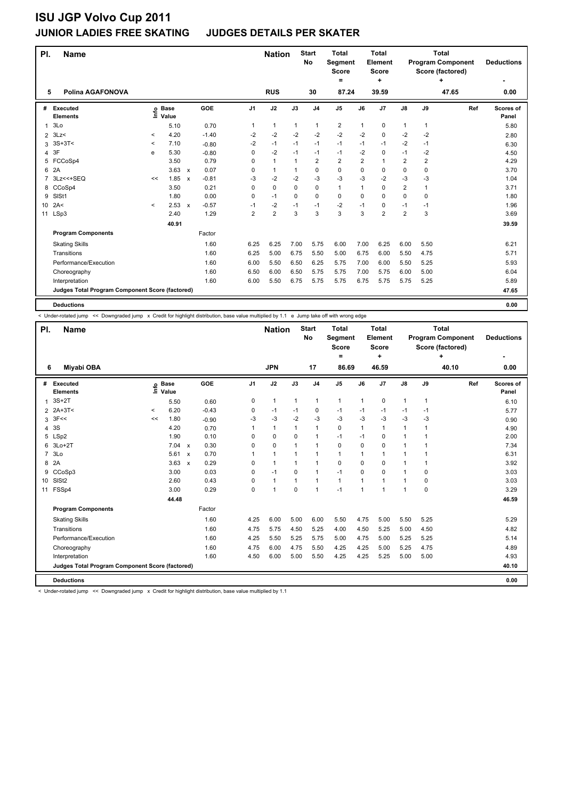#### **JUNIOR LADIES FREE SKATING JUDGES DETAILS PER SKATER**

| PI.            | <b>Name</b>                                     |         |                            |                           |         |                | <b>Nation</b>  |              | <b>Start</b><br><b>No</b> | <b>Total</b><br>Segment<br><b>Score</b><br>$=$ |                | <b>Total</b><br>Element<br><b>Score</b> |                |                | <b>Total</b><br><b>Program Component</b><br>Score (factored)<br>÷ | <b>Deductions</b>  |
|----------------|-------------------------------------------------|---------|----------------------------|---------------------------|---------|----------------|----------------|--------------|---------------------------|------------------------------------------------|----------------|-----------------------------------------|----------------|----------------|-------------------------------------------------------------------|--------------------|
| 5              | Polina AGAFONOVA                                |         |                            |                           |         |                | <b>RUS</b>     |              | 30                        | 87.24                                          |                | ٠<br>39.59                              |                |                | 47.65                                                             | 0.00               |
|                |                                                 |         |                            |                           |         |                |                |              |                           |                                                |                |                                         |                |                |                                                                   |                    |
| #              | Executed<br><b>Elements</b>                     |         | e Base<br>⊆ Value<br>Value |                           | GOE     | J <sub>1</sub> | J2             | J3           | J <sub>4</sub>            | J <sub>5</sub>                                 | J6             | J7                                      | $\mathsf{J}8$  | J9             | Ref                                                               | Scores of<br>Panel |
| 1              | 3Lo                                             |         | 5.10                       |                           | 0.70    | 1              | $\mathbf{1}$   | $\mathbf{1}$ | 1                         | 2                                              | 1              | 0                                       | $\mathbf{1}$   | 1              |                                                                   | 5.80               |
| 2              | 3Lz                                             | $\prec$ | 4.20                       |                           | $-1.40$ | $-2$           | $-2$           | $-2$         | $-2$                      | $-2$                                           | $-2$           | 0                                       | $-2$           | $-2$           |                                                                   | 2.80               |
| 3              | $3S+3T<$                                        | $\,<$   | 7.10                       |                           | $-0.80$ | $-2$           | $-1$           | $-1$         | $-1$                      | $-1$                                           | $-1$           | $-1$                                    | $-2$           | $-1$           |                                                                   | 6.30               |
| 4              | 3F                                              | e       | 5.30                       |                           | $-0.80$ | 0              | $-2$           | $-1$         | $-1$                      | $-1$                                           | $-2$           | 0                                       | $-1$           | $-2$           |                                                                   | 4.50               |
| 5              | FCCoSp4                                         |         | 3.50                       |                           | 0.79    | 0              | $\mathbf{1}$   | $\mathbf 1$  | $\overline{2}$            | $\overline{2}$                                 | $\overline{2}$ | $\mathbf{1}$                            | $\overline{2}$ | $\overline{2}$ |                                                                   | 4.29               |
| 6              | 2A                                              |         | 3.63                       | $\mathsf{x}$              | 0.07    | 0              | $\mathbf{1}$   | 1            | 0                         | $\mathbf 0$                                    | 0              | 0                                       | 0              | 0              |                                                                   | 3.70               |
| $\overline{7}$ | 3Lz << + SEQ                                    | <<      | 1.85                       | $\boldsymbol{\mathsf{x}}$ | $-0.81$ | -3             | $-2$           | $-2$         | $-3$                      | $-3$                                           | $-3$           | $-2$                                    | $-3$           | $-3$           |                                                                   | 1.04               |
| 8              | CCoSp4                                          |         | 3.50                       |                           | 0.21    | 0              | $\mathbf 0$    | $\Omega$     | $\mathbf 0$               | $\mathbf{1}$                                   | 1              | 0                                       | 2              | 1              |                                                                   | 3.71               |
| 9              | SISt1                                           |         | 1.80                       |                           | 0.00    | 0              | $-1$           | 0            | 0                         | $\mathbf 0$                                    | $\Omega$       | 0                                       | 0              | $\Omega$       |                                                                   | 1.80               |
| 10             | 2A<                                             | $\prec$ | 2.53                       | $\boldsymbol{\mathsf{x}}$ | $-0.57$ | $-1$           | $-2$           | $-1$         | $-1$                      | $-2$                                           | $-1$           | 0                                       | $-1$           | $-1$           |                                                                   | 1.96               |
| 11             | LSp3                                            |         | 2.40                       |                           | 1.29    | $\overline{2}$ | $\overline{2}$ | 3            | 3                         | 3                                              | 3              | $\overline{2}$                          | 2              | 3              |                                                                   | 3.69               |
|                |                                                 |         | 40.91                      |                           |         |                |                |              |                           |                                                |                |                                         |                |                |                                                                   | 39.59              |
|                | <b>Program Components</b>                       |         |                            |                           | Factor  |                |                |              |                           |                                                |                |                                         |                |                |                                                                   |                    |
|                | <b>Skating Skills</b>                           |         |                            |                           | 1.60    | 6.25           | 6.25           | 7.00         | 5.75                      | 6.00                                           | 7.00           | 6.25                                    | 6.00           | 5.50           |                                                                   | 6.21               |
|                | Transitions                                     |         |                            |                           | 1.60    | 6.25           | 5.00           | 6.75         | 5.50                      | 5.00                                           | 6.75           | 6.00                                    | 5.50           | 4.75           |                                                                   | 5.71               |
|                | Performance/Execution                           |         |                            |                           | 1.60    | 6.00           | 5.50           | 6.50         | 6.25                      | 5.75                                           | 7.00           | 6.00                                    | 5.50           | 5.25           |                                                                   | 5.93               |
|                | Choreography                                    |         |                            |                           | 1.60    | 6.50           | 6.00           | 6.50         | 5.75                      | 5.75                                           | 7.00           | 5.75                                    | 6.00           | 5.00           |                                                                   | 6.04               |
|                | Interpretation                                  |         |                            |                           | 1.60    | 6.00           | 5.50           | 6.75         | 5.75                      | 5.75                                           | 6.75           | 5.75                                    | 5.75           | 5.25           |                                                                   | 5.89               |
|                | Judges Total Program Component Score (factored) |         |                            |                           |         |                |                |              |                           |                                                |                |                                         |                |                |                                                                   | 47.65              |
|                | <b>Deductions</b>                               |         |                            |                           |         |                |                |              |                           |                                                |                |                                         |                |                |                                                                   | 0.00               |

< Under-rotated jump << Downgraded jump x Credit for highlight distribution, base value multiplied by 1.1 e Jump take off with wrong edge

| PI.             | <b>Name</b>                                     |       |                      |                           |         |                | <b>Nation</b>  |              | <b>Start</b><br><b>No</b> | <b>Total</b><br>Segment<br><b>Score</b><br>= |                | <b>Total</b><br>Element<br><b>Score</b><br>٠ |                      |              | <b>Total</b><br><b>Program Component</b><br>Score (factored)<br>÷ | <b>Deductions</b>  |
|-----------------|-------------------------------------------------|-------|----------------------|---------------------------|---------|----------------|----------------|--------------|---------------------------|----------------------------------------------|----------------|----------------------------------------------|----------------------|--------------|-------------------------------------------------------------------|--------------------|
| 6               | Miyabi OBA                                      |       |                      |                           |         |                | <b>JPN</b>     |              | 17                        | 86.69                                        |                | 46.59                                        |                      |              | 40.10                                                             | 0.00               |
| #               | Executed<br><b>Elements</b>                     | Lnfo  | <b>Base</b><br>Value |                           | GOE     | J <sub>1</sub> | J2             | J3           | J <sub>4</sub>            | J <sub>5</sub>                               | J6             | J7                                           | $\mathsf{J}8$        | J9           | Ref                                                               | Scores of<br>Panel |
| $\mathbf{1}$    | $3S+2T$                                         |       | 5.50                 |                           | 0.60    | 0              | $\mathbf{1}$   | $\mathbf{1}$ | $\mathbf{1}$              | $\mathbf{1}$                                 | $\mathbf{1}$   | 0                                            | $\mathbf{1}$         | $\mathbf{1}$ |                                                                   | 6.10               |
|                 | 2 2A+3T<                                        | $\,<$ | 6.20                 |                           | $-0.43$ | 0              | $-1$           | $-1$         | 0                         | $-1$                                         | -1             | $-1$                                         | $-1$                 | $-1$         |                                                                   | 5.77               |
| 3               | 3F<<                                            | <<    | 1.80                 |                           | $-0.90$ | $-3$           | $-3$           | $-2$         | $-3$                      | $-3$                                         | $-3$           | $-3$                                         | $-3$                 | -3           |                                                                   | 0.90               |
| $\overline{4}$  | 3S                                              |       | 4.20                 |                           | 0.70    | 1              | $\mathbf{1}$   | $\mathbf{1}$ | $\overline{1}$            | $\Omega$                                     | $\mathbf{1}$   | $\mathbf{1}$                                 | $\mathbf{1}$         | 1            |                                                                   | 4.90               |
|                 | 5 LSp2                                          |       | 1.90                 |                           | 0.10    | $\Omega$       | $\mathbf 0$    | $\Omega$     | $\overline{1}$            | $-1$                                         | $-1$           | 0                                            | $\mathbf{1}$         |              |                                                                   | 2.00               |
| 6               | $3Lo+2T$                                        |       | 7.04                 | $\mathsf{x}$              | 0.30    | $\Omega$       | $\mathbf 0$    | 1            | $\overline{1}$            | $\mathbf 0$                                  | $\mathbf 0$    | 0                                            | $\mathbf{1}$         |              |                                                                   | 7.34               |
| $\overline{7}$  | 3Lo                                             |       | 5.61                 | $\mathsf{x}$              | 0.70    | 1              | $\mathbf{1}$   | 1            | $\overline{1}$            | $\mathbf{1}$                                 | $\mathbf{1}$   | $\mathbf{1}$                                 | $\mathbf{1}$         |              |                                                                   | 6.31               |
| 8               | 2A                                              |       | 3.63                 | $\boldsymbol{\mathsf{x}}$ | 0.29    | 0              | $\mathbf{1}$   | $\mathbf 1$  | $\overline{1}$            | $\mathbf 0$                                  | 0              | 0                                            | $\mathbf 1$          |              |                                                                   | 3.92               |
| 9               | CCoSp3                                          |       | 3.00                 |                           | 0.03    | 0              | $-1$           | 0            | $\mathbf{1}$              | $-1$                                         | 0              | 0                                            | $\mathbf{1}$         | 0            |                                                                   | 3.03               |
| 10 <sup>°</sup> | SISt <sub>2</sub>                               |       | 2.60                 |                           | 0.43    | $\Omega$       | $\mathbf{1}$   | 1            | $\overline{1}$            | $\mathbf{1}$                                 | $\overline{1}$ | 1                                            | $\blacktriangleleft$ | $\Omega$     |                                                                   | 3.03               |
| 11              | FSSp4                                           |       | 3.00                 |                           | 0.29    | 0              | $\overline{1}$ | 0            | $\overline{1}$            | $-1$                                         | 1              |                                              | $\overline{1}$       | 0            |                                                                   | 3.29               |
|                 |                                                 |       | 44.48                |                           |         |                |                |              |                           |                                              |                |                                              |                      |              |                                                                   | 46.59              |
|                 | <b>Program Components</b>                       |       |                      |                           | Factor  |                |                |              |                           |                                              |                |                                              |                      |              |                                                                   |                    |
|                 | <b>Skating Skills</b>                           |       |                      |                           | 1.60    | 4.25           | 6.00           | 5.00         | 6.00                      | 5.50                                         | 4.75           | 5.00                                         | 5.50                 | 5.25         |                                                                   | 5.29               |
|                 | Transitions                                     |       |                      |                           | 1.60    | 4.75           | 5.75           | 4.50         | 5.25                      | 4.00                                         | 4.50           | 5.25                                         | 5.00                 | 4.50         |                                                                   | 4.82               |
|                 | Performance/Execution                           |       |                      |                           | 1.60    | 4.25           | 5.50           | 5.25         | 5.75                      | 5.00                                         | 4.75           | 5.00                                         | 5.25                 | 5.25         |                                                                   | 5.14               |
|                 | Choreography                                    |       |                      |                           | 1.60    | 4.75           | 6.00           | 4.75         | 5.50                      | 4.25                                         | 4.25           | 5.00                                         | 5.25                 | 4.75         |                                                                   | 4.89               |
|                 | Interpretation                                  |       |                      |                           | 1.60    | 4.50           | 6.00           | 5.00         | 5.50                      | 4.25                                         | 4.25           | 5.25                                         | 5.00                 | 5.00         |                                                                   | 4.93               |
|                 | Judges Total Program Component Score (factored) |       |                      |                           |         |                |                |              |                           |                                              |                |                                              |                      |              |                                                                   | 40.10              |
|                 | <b>Deductions</b>                               |       |                      |                           |         |                |                |              |                           |                                              |                |                                              |                      |              |                                                                   | 0.00               |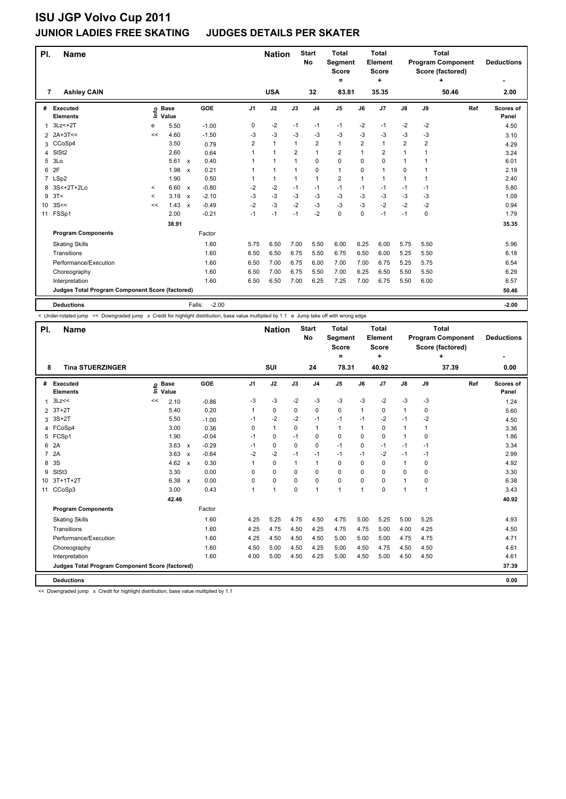### **ISU JGP Volvo Cup 2011 JUNIOR LADIES FREE SKATING JUDGES DETAILS PER SKATER**

| PI.             | <b>Name</b>                                     |         |                 |                           |                   |                | <b>Nation</b>        |                | <b>Start</b><br>No      | <b>Total</b><br>Segment<br><b>Score</b><br>$\equiv$ |                | <b>Total</b><br>Element<br><b>Score</b><br>٠ |                |                | <b>Total</b><br><b>Program Component</b><br>Score (factored)<br>÷ | <b>Deductions</b>  |
|-----------------|-------------------------------------------------|---------|-----------------|---------------------------|-------------------|----------------|----------------------|----------------|-------------------------|-----------------------------------------------------|----------------|----------------------------------------------|----------------|----------------|-------------------------------------------------------------------|--------------------|
| 7               | <b>Ashley CAIN</b>                              |         |                 |                           |                   |                | <b>USA</b>           |                | 32                      | 83.81                                               |                | 35.35                                        |                |                | 50.46                                                             | 2.00               |
| #               | Executed<br><b>Elements</b>                     | έ       | o Base<br>Value |                           | GOE               | J1             | J2                   | J3             | J <sub>4</sub>          | J <sub>5</sub>                                      | J6             | J <sub>7</sub>                               | J8             | J9             | Ref                                                               | Scores of<br>Panel |
| 1               | $3Lz<+2T$                                       | e       | 5.50            |                           | $-1.00$           | 0              | $-2$                 | $-1$           | $-1$                    | $-1$                                                | $-2$           | $-1$                                         | $-2$           | -2             |                                                                   | 4.50               |
|                 | 2 2A+3T<<                                       | <<      | 4.60            |                           | $-1.50$           | $-3$           | $-3$                 | -3             | -3                      | $-3$                                                | -3             | -3                                           | -3             | -3             |                                                                   | 3.10               |
| 3               | CCoSp4                                          |         | 3.50            |                           | 0.79              | $\overline{2}$ | $\mathbf{1}$         | 1              | $\overline{\mathbf{c}}$ | $\mathbf{1}$                                        | $\overline{2}$ | $\overline{1}$                               | $\overline{2}$ | $\overline{2}$ |                                                                   | 4.29               |
| 4               | SISt <sub>2</sub>                               |         | 2.60            |                           | 0.64              |                | $\mathbf{1}$         | 2              | 1                       | $\overline{2}$                                      |                | $\overline{2}$                               | 1              | 1              |                                                                   | 3.24               |
| 5               | 3 <sub>LO</sub>                                 |         | 5.61            | $\mathsf{x}$              | 0.40              |                | $\overline{1}$       | $\overline{ }$ | 0                       | 0                                                   | 0              | $\mathbf 0$                                  | 1              | 1              |                                                                   | 6.01               |
| 6               | 2F                                              |         | 1.98            | $\boldsymbol{\mathsf{x}}$ | 0.21              |                | $\blacktriangleleft$ |                | 0                       | $\mathbf{1}$                                        | 0              | $\overline{1}$                               | 0              |                |                                                                   | 2.19               |
|                 | 7 LSp2                                          |         | 1.90            |                           | 0.50              |                | $\mathbf{1}$         | 1              | $\mathbf{1}$            | $\overline{2}$                                      | 1              | $\overline{1}$                               | 1              | 1              |                                                                   | 2.40               |
| 8               | 3S<+2T+2Lo                                      | $\prec$ | 6.60 x          |                           | $-0.80$           | $-2$           | $-2$                 | $-1$           | $-1$                    | $-1$                                                | $-1$           | $-1$                                         | $-1$           | $-1$           |                                                                   | 5.80               |
| 9               | 3T<                                             | $\prec$ | 3.19            | $\boldsymbol{\mathsf{x}}$ | $-2.10$           | -3             | $-3$                 | $-3$           | $-3$                    | $-3$                                                | $-3$           | $-3$                                         | $-3$           | -3             |                                                                   | 1.09               |
| 10 <sup>1</sup> | 3S<<                                            | <<      | 1.43            | $\boldsymbol{\mathsf{x}}$ | $-0.49$           | $-2$           | $-3$                 | $-2$           | $-3$                    | $-3$                                                | $-3$           | $-2$                                         | $-2$           | $-2$           |                                                                   | 0.94               |
| 11              | FSSp1                                           |         | 2.00            |                           | $-0.21$           | $-1$           | $-1$                 | $-1$           | $-2$                    | 0                                                   | 0              | $-1$                                         | $-1$           | 0              |                                                                   | 1.79               |
|                 |                                                 |         | 38.91           |                           |                   |                |                      |                |                         |                                                     |                |                                              |                |                |                                                                   | 35.35              |
|                 | <b>Program Components</b>                       |         |                 |                           | Factor            |                |                      |                |                         |                                                     |                |                                              |                |                |                                                                   |                    |
|                 | <b>Skating Skills</b>                           |         |                 |                           | 1.60              | 5.75           | 6.50                 | 7.00           | 5.50                    | 6.00                                                | 6.25           | 6.00                                         | 5.75           | 5.50           |                                                                   | 5.96               |
|                 | Transitions                                     |         |                 |                           | 1.60              | 6.50           | 6.50                 | 6.75           | 5.50                    | 6.75                                                | 6.50           | 6.00                                         | 5.25           | 5.50           |                                                                   | 6.18               |
|                 | Performance/Execution                           |         |                 |                           | 1.60              | 6.50           | 7.00                 | 6.75           | 6.00                    | 7.00                                                | 7.00           | 6.75                                         | 5.25           | 5.75           |                                                                   | 6.54               |
|                 | Choreography                                    |         |                 |                           | 1.60              | 6.50           | 7.00                 | 6.75           | 5.50                    | 7.00                                                | 6.25           | 6.50                                         | 5.50           | 5.50           |                                                                   | 6.29               |
|                 | Interpretation                                  |         |                 |                           | 1.60              | 6.50           | 6.50                 | 7.00           | 6.25                    | 7.25                                                | 7.00           | 6.75                                         | 5.50           | 6.00           |                                                                   | 6.57               |
|                 | Judges Total Program Component Score (factored) |         |                 |                           |                   |                |                      |                |                         |                                                     |                |                                              |                |                |                                                                   | 50.46              |
|                 | <b>Deductions</b>                               |         |                 |                           | $-2.00$<br>Falls: |                |                      |                |                         |                                                     |                |                                              |                |                |                                                                   | $-2.00$            |

< Under-rotated jump << Downgraded jump x Credit for highlight distribution, base value multiplied by 1.1 e Jump take off with wrong edge

| PI.             | <b>Name</b>                                     |                              |                           |         |                | <b>Nation</b> |             | <b>Start</b><br>No | <b>Total</b><br>Segment<br><b>Score</b><br>Ξ. |              | <b>Total</b><br><b>Element</b><br><b>Score</b><br>٠ |               |      | Total<br><b>Program Component</b><br>Score (factored)<br>٠ | <b>Deductions</b>  |
|-----------------|-------------------------------------------------|------------------------------|---------------------------|---------|----------------|---------------|-------------|--------------------|-----------------------------------------------|--------------|-----------------------------------------------------|---------------|------|------------------------------------------------------------|--------------------|
| 8               | <b>Tina STUERZINGER</b>                         |                              |                           |         |                | SUI           |             | 24                 | 78.31                                         |              | 40.92                                               |               |      | 37.39                                                      | ٠<br>0.00          |
| #               | Executed<br><b>Elements</b>                     | <b>Base</b><br>lnfo<br>Value |                           | GOE     | J <sub>1</sub> | J2            | J3          | J <sub>4</sub>     | J <sub>5</sub>                                | J6           | J7                                                  | $\mathsf{J}8$ | J9   | Ref                                                        | Scores of<br>Panel |
| 1               | 3Lz<<                                           | <<<br>2.10                   |                           | $-0.86$ | -3             | $-3$          | $-2$        | $-3$               | $-3$                                          | -3           | $-2$                                                | $-3$          | $-3$ |                                                            | 1.24               |
| 2               | $3T+2T$                                         | 5.40                         |                           | 0.20    | 1              | 0             | 0           | 0                  | $\mathbf 0$                                   | 1            | 0                                                   | $\mathbf{1}$  | 0    |                                                            | 5.60               |
| 3               | $3S+2T$                                         | 5.50                         |                           | $-1.00$ | $-1$           | $-2$          | $-2$        | $-1$               | $-1$                                          | $-1$         | $-2$                                                | $-1$          | $-2$ |                                                            | 4.50               |
| 4               | FCoSp4                                          | 3.00                         |                           | 0.36    | 0              | $\mathbf{1}$  | 0           | $\mathbf{1}$       | $\mathbf{1}$                                  | $\mathbf{1}$ | 0                                                   | $\mathbf{1}$  | 1    |                                                            | 3.36               |
| 5               | FCSp1                                           | 1.90                         |                           | $-0.04$ | -1             | 0             | $-1$        | 0                  | 0                                             | 0            | 0                                                   | $\mathbf{1}$  | 0    |                                                            | 1.86               |
| 6               | 2A                                              | 3.63                         | $\boldsymbol{\mathsf{x}}$ | $-0.29$ | -1             | $\mathbf 0$   | $\mathbf 0$ | $\mathbf 0$        | $-1$                                          | $\mathbf 0$  | $-1$                                                | $-1$          | $-1$ |                                                            | 3.34               |
| $\overline{7}$  | 2A                                              | 3.63                         | $\boldsymbol{\mathsf{x}}$ | $-0.64$ | $-2$           | $-2$          | $-1$        | $-1$               | $-1$                                          | $-1$         | $-2$                                                | $-1$          | $-1$ |                                                            | 2.99               |
| 8               | 3S                                              | 4.62                         | $\boldsymbol{\mathsf{x}}$ | 0.30    | 1              | $\mathbf 0$   | $\mathbf 1$ | $\overline{1}$     | $\mathbf 0$                                   | $\Omega$     | $\Omega$                                            | 1             | 0    |                                                            | 4.92               |
| 9               | SIS <sub>t3</sub>                               | 3.30                         |                           | 0.00    | 0              | 0             | 0           | 0                  | 0                                             | 0            | 0                                                   | 0             | 0    |                                                            | 3.30               |
| 10 <sup>°</sup> | $3T+1T+2T$                                      | 6.38                         | $\mathsf{x}$              | 0.00    | 0              | $\mathbf 0$   | $\mathbf 0$ | $\mathbf 0$        | $\mathbf 0$                                   | $\mathbf 0$  | $\Omega$                                            | $\mathbf{1}$  | 0    |                                                            | 6.38               |
| 11              | CCoSp3                                          | 3.00                         |                           | 0.43    | 1              | 1             | $\mathbf 0$ | $\overline{1}$     | $\mathbf{1}$                                  | 1            | $\Omega$                                            | $\mathbf{1}$  | 1    |                                                            | 3.43               |
|                 |                                                 | 42.46                        |                           |         |                |               |             |                    |                                               |              |                                                     |               |      |                                                            | 40.92              |
|                 | <b>Program Components</b>                       |                              |                           | Factor  |                |               |             |                    |                                               |              |                                                     |               |      |                                                            |                    |
|                 | <b>Skating Skills</b>                           |                              |                           | 1.60    | 4.25           | 5.25          | 4.75        | 4.50               | 4.75                                          | 5.00         | 5.25                                                | 5.00          | 5.25 |                                                            | 4.93               |
|                 | Transitions                                     |                              |                           | 1.60    | 4.25           | 4.75          | 4.50        | 4.25               | 4.75                                          | 4.75         | 5.00                                                | 4.00          | 4.25 |                                                            | 4.50               |
|                 | Performance/Execution                           |                              |                           | 1.60    | 4.25           | 4.50          | 4.50        | 4.50               | 5.00                                          | 5.00         | 5.00                                                | 4.75          | 4.75 |                                                            | 4.71               |
|                 | Choreography                                    |                              |                           | 1.60    | 4.50           | 5.00          | 4.50        | 4.25               | 5.00                                          | 4.50         | 4.75                                                | 4.50          | 4.50 |                                                            | 4.61               |
|                 | Interpretation                                  |                              |                           | 1.60    | 4.00           | 5.00          | 4.50        | 4.25               | 5.00                                          | 4.50         | 5.00                                                | 4.50          | 4.50 |                                                            | 4.61               |
|                 | Judges Total Program Component Score (factored) |                              |                           |         |                |               |             |                    |                                               |              |                                                     |               |      |                                                            | 37.39              |
|                 | <b>Deductions</b>                               |                              |                           |         |                |               |             |                    |                                               |              |                                                     |               |      |                                                            | 0.00               |

<< Downgraded jump x Credit for highlight distribution, base value multiplied by 1.1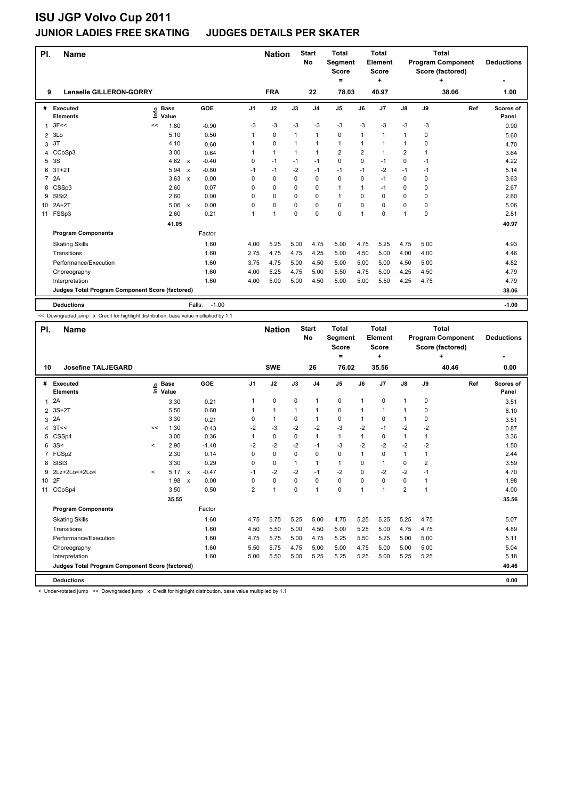### **JUNIOR LADIES FREE SKATING JUDGES DETAILS PER SKATER**

| PI.            | Name                                            |                            |                                      |                | <b>Nation</b> |              | <b>Start</b><br>No | <b>Total</b><br>Segment<br><b>Score</b><br>$=$ |          | <b>Total</b><br>Element<br><b>Score</b><br>÷ |                |             | <b>Total</b><br><b>Program Component</b><br>Score (factored)<br>÷ | <b>Deductions</b>  |
|----------------|-------------------------------------------------|----------------------------|--------------------------------------|----------------|---------------|--------------|--------------------|------------------------------------------------|----------|----------------------------------------------|----------------|-------------|-------------------------------------------------------------------|--------------------|
| 9              | <b>Lenaelle GILLERON-GORRY</b>                  |                            |                                      |                | <b>FRA</b>    |              | 22                 | 78.03                                          |          | 40.97                                        |                |             | 38.06                                                             | 1.00               |
| #              | Executed<br><b>Elements</b>                     | e Base<br>E Value<br>Value | GOE                                  | J <sub>1</sub> | J2            | J3           | J <sub>4</sub>     | J <sub>5</sub>                                 | J6       | J7                                           | $\mathsf{J}8$  | J9          | Ref                                                               | Scores of<br>Panel |
| $\mathbf{1}$   | 3F<<                                            | 1.80<br><<                 | $-0.90$                              | -3             | -3            | $-3$         | $-3$               | $-3$                                           | $-3$     | $-3$                                         | $-3$           | -3          |                                                                   | 0.90               |
| $\overline{2}$ | 3Lo                                             | 5.10                       | 0.50                                 | 1              | $\mathbf 0$   | 1            | $\overline{1}$     | 0                                              | 1        | 1                                            | 1              | $\Omega$    |                                                                   | 5.60               |
| 3              | 3T                                              | 4.10                       | 0.60                                 |                | 0             | $\mathbf{1}$ | $\overline{1}$     | 1                                              | 1        | 1                                            | 1              | 0           |                                                                   | 4.70               |
| 4              | CCoSp3                                          | 3.00                       | 0.64                                 | 1              | $\mathbf{1}$  | 1            | 1                  | $\overline{\mathbf{c}}$                        | 2        | 1                                            | $\overline{2}$ | 1           |                                                                   | 3.64               |
| 5              | 3S                                              | 4.62                       | $-0.40$<br>$\mathsf{x}$              | $\Omega$       | $-1$          | $-1$         | $-1$               | 0                                              | $\Omega$ | $-1$                                         | 0              | $-1$        |                                                                   | 4.22               |
| 6              | $3T+2T$                                         | 5.94                       | $-0.80$<br>$\boldsymbol{\mathsf{x}}$ | $-1$           | $-1$          | $-2$         | $-1$               | $-1$                                           | $-1$     | $-2$                                         | $-1$           | $-1$        |                                                                   | 5.14               |
| $\overline{7}$ | 2A                                              | 3.63                       | 0.00<br>$\boldsymbol{\mathsf{x}}$    | $\Omega$       | 0             | $\Omega$     | $\mathbf 0$        | 0                                              | $\Omega$ | $-1$                                         | $\Omega$       | $\mathbf 0$ |                                                                   | 3.63               |
| 8              | CSSp3                                           | 2.60                       | 0.07                                 | 0              | $\mathbf 0$   | $\Omega$     | $\mathbf 0$        | $\mathbf{1}$                                   | 1        | $-1$                                         | 0              | $\Omega$    |                                                                   | 2.67               |
| 9              | SIS <sub>t2</sub>                               | 2.60                       | 0.00                                 | 0              | 0             | 0            | $\mathbf 0$        | $\mathbf{1}$                                   | 0        | 0                                            | 0              | 0           |                                                                   | 2.60               |
| 10             | $2A+2T$                                         | 5.06                       | 0.00<br>$\mathsf{x}$                 | $\Omega$       | 0             | 0            | $\Omega$           | 0                                              | 0        | $\Omega$                                     | 0              | $\Omega$    |                                                                   | 5.06               |
| 11             | FSSp3                                           | 2.60                       | 0.21                                 | 1              | $\mathbf{1}$  | 0            | $\mathbf 0$        | 0                                              | 1        | 0                                            | 1              | 0           |                                                                   | 2.81               |
|                |                                                 | 41.05                      |                                      |                |               |              |                    |                                                |          |                                              |                |             |                                                                   | 40.97              |
|                | <b>Program Components</b>                       |                            | Factor                               |                |               |              |                    |                                                |          |                                              |                |             |                                                                   |                    |
|                | <b>Skating Skills</b>                           |                            | 1.60                                 | 4.00           | 5.25          | 5.00         | 4.75               | 5.00                                           | 4.75     | 5.25                                         | 4.75           | 5.00        |                                                                   | 4.93               |
|                | Transitions                                     |                            | 1.60                                 | 2.75           | 4.75          | 4.75         | 4.25               | 5.00                                           | 4.50     | 5.00                                         | 4.00           | 4.00        |                                                                   | 4.46               |
|                | Performance/Execution                           |                            | 1.60                                 | 3.75           | 4.75          | 5.00         | 4.50               | 5.00                                           | 5.00     | 5.00                                         | 4.50           | 5.00        |                                                                   | 4.82               |
|                | Choreography                                    |                            | 1.60                                 | 4.00           | 5.25          | 4.75         | 5.00               | 5.50                                           | 4.75     | 5.00                                         | 4.25           | 4.50        |                                                                   | 4.79               |
|                | Interpretation                                  |                            | 1.60                                 | 4.00           | 5.00          | 5.00         | 4.50               | 5.00                                           | 5.00     | 5.50                                         | 4.25           | 4.75        |                                                                   | 4.79               |
|                | Judges Total Program Component Score (factored) |                            |                                      |                |               |              |                    |                                                |          |                                              |                |             |                                                                   | 38.06              |
|                | <b>Deductions</b>                               |                            | $-1.00$<br>Falls:                    |                |               |              |                    |                                                |          |                                              |                |             |                                                                   | $-1.00$            |

<< Downgraded jump x Credit for highlight distribution, base value multiplied by 1.1

| PI.             | <b>Name</b>                                     |              |                            |                      |          | <b>Nation</b> |          | <b>Start</b><br>No | <b>Total</b><br><b>Segment</b><br><b>Score</b> |              | Total<br>Element<br><b>Score</b> |               |              | <b>Total</b><br><b>Program Component</b><br>Score (factored) | <b>Deductions</b>  |
|-----------------|-------------------------------------------------|--------------|----------------------------|----------------------|----------|---------------|----------|--------------------|------------------------------------------------|--------------|----------------------------------|---------------|--------------|--------------------------------------------------------------|--------------------|
| 10              | <b>Josefine TALJEGARD</b>                       |              |                            |                      |          | <b>SWE</b>    |          | 26                 | ۰<br>76.02                                     |              | ÷<br>35.56                       |               |              | ÷<br>40.46                                                   | 0.00               |
|                 |                                                 |              |                            |                      |          |               |          |                    |                                                |              |                                  |               |              |                                                              |                    |
| #               | Executed<br><b>Elements</b>                     |              | e Base<br>E Value<br>Value | GOE                  | J1       | J2            | J3       | J <sub>4</sub>     | J <sub>5</sub>                                 | J6           | J7                               | $\mathsf{J}8$ | J9           | Ref                                                          | Scores of<br>Panel |
| $\mathbf{1}$    | 2A                                              |              | 3.30                       | 0.21                 | 1        | $\pmb{0}$     | 0        | $\mathbf{1}$       | 0                                              | $\mathbf{1}$ | $\mathbf 0$                      | 1             | 0            |                                                              | 3.51               |
|                 | 2 3S+2T                                         |              | 5.50                       | 0.60                 |          | 1             | -1       | 1                  | 0                                              | 1            | 1                                | 1             | 0            |                                                              | 6.10               |
| 3               | 2A                                              |              | 3.30                       | 0.21                 | 0        | $\mathbf{1}$  | 0        | 1                  | 0                                              | $\mathbf{1}$ | 0                                | 1             | 0            |                                                              | 3.51               |
| 4               | 3T<<                                            | <<           | 1.30                       | $-0.43$              | $-2$     | $-3$          | $-2$     | $-2$               | $-3$                                           | $-2$         | $-1$                             | $-2$          | $-2$         |                                                              | 0.87               |
| 5               | CSSp4                                           |              | 3.00                       | 0.36                 |          | 0             | 0        | 1                  | $\mathbf{1}$                                   | 1            | 0                                | 1             | 1            |                                                              | 3.36               |
|                 | 6.3S<                                           | $\checkmark$ | 2.90                       | $-1.40$              | $-2$     | $-2$          | $-2$     | $-1$               | $-3$                                           | $-2$         | $-2$                             | $-2$          | $-2$         |                                                              | 1.50               |
| 7               | FCSp2                                           |              | 2.30                       | 0.14                 | 0        | 0             | 0        | 0                  | 0                                              | 1            | 0                                | $\mathbf{1}$  | $\mathbf{1}$ |                                                              | 2.44               |
| 8               | SISt <sub>3</sub>                               |              | 3.30                       | 0.29                 | $\Omega$ | 0             | 1        | 1                  | $\mathbf{1}$                                   | $\Omega$     | $\mathbf{1}$                     | 0             | 2            |                                                              | 3.59               |
| 9               | 2Lz+2Lo<+2Lo<                                   | $\prec$      | $5.17 \times$              | $-0.47$              | $-1$     | $-2$          | $-2$     | $-1$               | $-2$                                           | $\Omega$     | $-2$                             | $-2$          | $-1$         |                                                              | 4.70               |
| 10 <sup>1</sup> | 2F                                              |              | 1.98                       | 0.00<br>$\mathbf{x}$ | 0        | 0             | $\Omega$ | 0                  | 0                                              | 0            | $\Omega$                         | 0             | $\mathbf{1}$ |                                                              | 1.98               |
| 11              | CCoSp4                                          |              | 3.50                       | 0.50                 | 2        | $\mathbf{1}$  | 0        | $\mathbf{1}$       | 0                                              | 1            | 1                                | 2             | 1            |                                                              | 4.00               |
|                 |                                                 |              | 35.55                      |                      |          |               |          |                    |                                                |              |                                  |               |              |                                                              | 35.56              |
|                 | <b>Program Components</b>                       |              |                            | Factor               |          |               |          |                    |                                                |              |                                  |               |              |                                                              |                    |
|                 | <b>Skating Skills</b>                           |              |                            | 1.60                 | 4.75     | 5.75          | 5.25     | 5.00               | 4.75                                           | 5.25         | 5.25                             | 5.25          | 4.75         |                                                              | 5.07               |
|                 | Transitions                                     |              |                            | 1.60                 | 4.50     | 5.50          | 5.00     | 4.50               | 5.00                                           | 5.25         | 5.00                             | 4.75          | 4.75         |                                                              | 4.89               |
|                 | Performance/Execution                           |              |                            | 1.60                 | 4.75     | 5.75          | 5.00     | 4.75               | 5.25                                           | 5.50         | 5.25                             | 5.00          | 5.00         |                                                              | 5.11               |
|                 | Choreography                                    |              |                            | 1.60                 | 5.50     | 5.75          | 4.75     | 5.00               | 5.00                                           | 4.75         | 5.00                             | 5.00          | 5.00         |                                                              | 5.04               |
|                 | Interpretation                                  |              |                            | 1.60                 | 5.00     | 5.50          | 5.00     | 5.25               | 5.25                                           | 5.25         | 5.00                             | 5.25          | 5.25         |                                                              | 5.18               |
|                 | Judges Total Program Component Score (factored) |              |                            |                      |          |               |          |                    |                                                |              |                                  |               |              |                                                              | 40.46              |
|                 | <b>Deductions</b>                               |              |                            |                      |          |               |          |                    |                                                |              |                                  |               |              |                                                              | 0.00               |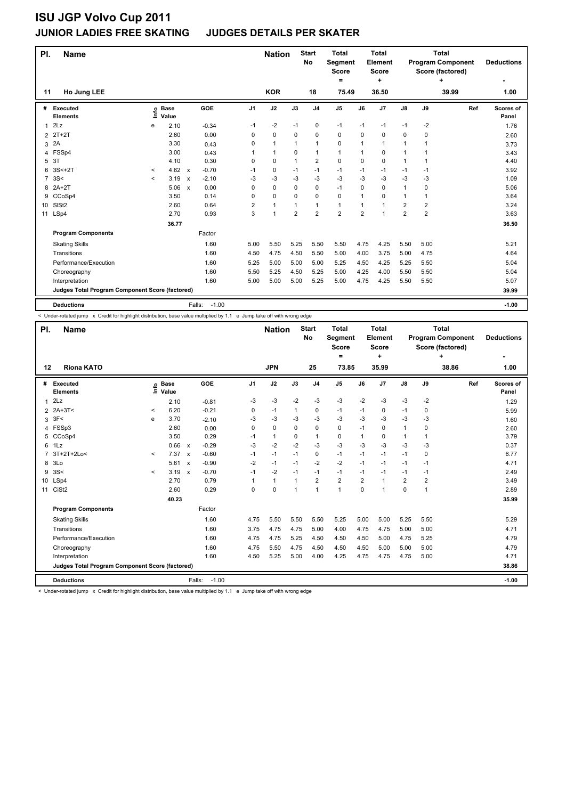#### **JUNIOR LADIES FREE SKATING JUDGES DETAILS PER SKATER**

| PI.            | Name                                            |          |                            |                                      |                | <b>Nation</b>  |                | <b>Start</b><br>No | <b>Total</b><br>Segment<br><b>Score</b><br>= |                | <b>Total</b><br>Element<br><b>Score</b><br>٠ |                |                | <b>Total</b><br><b>Program Component</b><br>Score (factored)<br>٠ | <b>Deductions</b>  |
|----------------|-------------------------------------------------|----------|----------------------------|--------------------------------------|----------------|----------------|----------------|--------------------|----------------------------------------------|----------------|----------------------------------------------|----------------|----------------|-------------------------------------------------------------------|--------------------|
| 11             | Ho Jung LEE                                     |          |                            |                                      |                | <b>KOR</b>     |                | 18                 | 75.49                                        |                | 36.50                                        |                |                | 39.99                                                             | 1.00               |
| #              | Executed<br><b>Elements</b>                     |          | e Base<br>E Value<br>Value | GOE                                  | J <sub>1</sub> | J2             | J3             | J <sub>4</sub>     | J <sub>5</sub>                               | J6             | J <sub>7</sub>                               | J8             | J9             | Ref                                                               | Scores of<br>Panel |
| 1              | 2Lz                                             | e        | 2.10                       | $-0.34$                              | $-1$           | $-2$           | $-1$           | 0                  | $-1$                                         | $-1$           | $-1$                                         | $-1$           | -2             |                                                                   | 1.76               |
| $\overline{2}$ | $2T+2T$                                         |          | 2.60                       | 0.00                                 | 0              | 0              | 0              | $\mathbf 0$        | 0                                            | 0              | 0                                            | 0              | 0              |                                                                   | 2.60               |
| 3              | 2A                                              |          | 3.30                       | 0.43                                 | 0              | $\mathbf{1}$   | $\mathbf{1}$   | $\mathbf{1}$       | 0                                            | 1              | $\overline{1}$                               | 1              | 1              |                                                                   | 3.73               |
| 4              | FSSp4                                           |          | 3.00                       | 0.43                                 | 1              | $\mathbf{1}$   | 0              | $\mathbf{1}$       | $\mathbf{1}$                                 | 1              | 0                                            | 1              |                |                                                                   | 3.43               |
| 5              | 3T                                              |          | 4.10                       | 0.30                                 | 0              | 0              | 1              | $\overline{2}$     | 0                                            | $\mathbf 0$    | $\mathbf 0$                                  | 1              | 1              |                                                                   | 4.40               |
| 6              | $3S<+2T$                                        | $\,<\,$  | 4.62                       | $-0.70$<br>$\mathsf{x}$              | -1             | 0              | $-1$           | $-1$               | $-1$                                         | $-1$           | $-1$                                         | $-1$           | -1             |                                                                   | 3.92               |
| $\overline{7}$ | 3S<                                             | $\hat{}$ | 3.19                       | $-2.10$<br>$\boldsymbol{\mathsf{x}}$ | $-3$           | -3             | $-3$           | $-3$               | $-3$                                         | $-3$           | $-3$                                         | $-3$           | $-3$           |                                                                   | 1.09               |
| 8              | $2A+2T$                                         |          | 5.06                       | 0.00<br>$\boldsymbol{\mathsf{x}}$    | 0              | 0              | 0              | $\mathbf 0$        | $-1$                                         | $\Omega$       | $\mathbf 0$                                  | $\mathbf{1}$   | 0              |                                                                   | 5.06               |
|                | 9 CCoSp4                                        |          | 3.50                       | 0.14                                 | 0              | 0              | 0              | $\mathbf 0$        | 0                                            | 1              | 0                                            | 1              | 1              |                                                                   | 3.64               |
| 10             | SISt <sub>2</sub>                               |          | 2.60                       | 0.64                                 | 2              | $\mathbf{1}$   | $\overline{1}$ | $\mathbf{1}$       | $\mathbf{1}$                                 | $\mathbf 1$    | 1                                            | $\overline{2}$ | 2              |                                                                   | 3.24               |
| 11             | LSp4                                            |          | 2.70                       | 0.93                                 | 3              | $\overline{1}$ | $\overline{2}$ | $\overline{2}$     | $\overline{2}$                               | $\overline{2}$ | 1                                            | $\overline{2}$ | $\overline{2}$ |                                                                   | 3.63               |
|                |                                                 |          | 36.77                      |                                      |                |                |                |                    |                                              |                |                                              |                |                |                                                                   | 36.50              |
|                | <b>Program Components</b>                       |          |                            | Factor                               |                |                |                |                    |                                              |                |                                              |                |                |                                                                   |                    |
|                | <b>Skating Skills</b>                           |          |                            | 1.60                                 | 5.00           | 5.50           | 5.25           | 5.50               | 5.50                                         | 4.75           | 4.25                                         | 5.50           | 5.00           |                                                                   | 5.21               |
|                | Transitions                                     |          |                            | 1.60                                 | 4.50           | 4.75           | 4.50           | 5.50               | 5.00                                         | 4.00           | 3.75                                         | 5.00           | 4.75           |                                                                   | 4.64               |
|                | Performance/Execution                           |          |                            | 1.60                                 | 5.25           | 5.00           | 5.00           | 5.00               | 5.25                                         | 4.50           | 4.25                                         | 5.25           | 5.50           |                                                                   | 5.04               |
|                | Choreography                                    |          |                            | 1.60                                 | 5.50           | 5.25           | 4.50           | 5.25               | 5.00                                         | 4.25           | 4.00                                         | 5.50           | 5.50           |                                                                   | 5.04               |
|                | Interpretation                                  |          |                            | 1.60                                 | 5.00           | 5.00           | 5.00           | 5.25               | 5.00                                         | 4.75           | 4.25                                         | 5.50           | 5.50           |                                                                   | 5.07               |
|                | Judges Total Program Component Score (factored) |          |                            |                                      |                |                |                |                    |                                              |                |                                              |                |                |                                                                   | 39.99              |
|                | <b>Deductions</b>                               |          |                            | $-1.00$<br>Falls:                    |                |                |                |                    |                                              |                |                                              |                |                |                                                                   | $-1.00$            |

-<br>< Under-rotated jump x Credit for highlight distribution, base value multiplied by 1.1 e Jump take off with wrong edge

| PI.          | <b>Name</b>                                     |         |                      |                           |         |                | <b>Nation</b> |          | <b>Start</b><br><b>No</b> | Total<br><b>Segment</b><br><b>Score</b><br>$\equiv$ |                | Total<br>Element<br><b>Score</b><br>÷ |                |                | Total<br><b>Program Component</b><br>Score (factored)<br>÷ | <b>Deductions</b><br>۰ |
|--------------|-------------------------------------------------|---------|----------------------|---------------------------|---------|----------------|---------------|----------|---------------------------|-----------------------------------------------------|----------------|---------------------------------------|----------------|----------------|------------------------------------------------------------|------------------------|
| 12           | <b>Riona KATO</b>                               |         |                      |                           |         |                | <b>JPN</b>    |          | 25                        | 73.85                                               |                | 35.99                                 |                |                | 38.86                                                      | 1.00                   |
| #            | Executed<br><b>Elements</b>                     | lnfo    | <b>Base</b><br>Value |                           | GOE     | J <sub>1</sub> | J2            | J3       | J <sub>4</sub>            | J <sub>5</sub>                                      | J6             | J7                                    | $\mathsf{J}8$  | J9             | Ref                                                        | Scores of<br>Panel     |
| $\mathbf{1}$ | 2Lz                                             |         | 2.10                 |                           | $-0.81$ | $-3$           | $-3$          | $-2$     | $-3$                      | $-3$                                                | $-2$           | $-3$                                  | $-3$           | $-2$           |                                                            | 1.29                   |
|              | 2 2A+3T<                                        | $\prec$ | 6.20                 |                           | $-0.21$ | 0              | $-1$          | 1        | $\mathbf 0$               | $-1$                                                | $-1$           | 0                                     | $-1$           | $\Omega$       |                                                            | 5.99                   |
| 3            | 3F<                                             | e       | 3.70                 |                           | $-2.10$ | -3             | $-3$          | $-3$     | $-3$                      | $-3$                                                | $-3$           | $-3$                                  | $-3$           | $-3$           |                                                            | 1.60                   |
| 4            | FSSp3                                           |         | 2.60                 |                           | 0.00    | $\Omega$       | $\Omega$      | $\Omega$ | 0                         | $\Omega$                                            | $-1$           | $\Omega$                              | $\mathbf{1}$   | 0              |                                                            | 2.60                   |
| 5            | CCoSp4                                          |         | 3.50                 |                           | 0.29    | $-1$           | $\mathbf{1}$  | 0        | 1                         | 0                                                   | $\mathbf{1}$   | 0                                     | 1              | 1              |                                                            | 3.79                   |
| 6            | $1\mathsf{L}z$                                  |         | 0.66                 | $\mathbf{x}$              | $-0.29$ | $-3$           | $-2$          | $-2$     | $-3$                      | $-3$                                                | $-3$           | $-3$                                  | $-3$           | -3             |                                                            | 0.37                   |
| 7            | 3T+2T+2Lo<                                      | $\prec$ | 7.37                 | $\mathsf{x}$              | $-0.60$ | $-1$           | $-1$          | $-1$     | 0                         | $-1$                                                | $-1$           | $-1$                                  | $-1$           | 0              |                                                            | 6.77                   |
| 8            | 3Lo                                             |         | 5.61                 | $\boldsymbol{\mathsf{x}}$ | $-0.90$ | $-2$           | $-1$          | $-1$     | $-2$                      | $-2$                                                | $-1$           | $-1$                                  | $-1$           | $-1$           |                                                            | 4.71                   |
| 9            | 3S<                                             | $\prec$ | 3.19                 | $\boldsymbol{\mathsf{x}}$ | $-0.70$ | $-1$           | $-2$          | $-1$     | $-1$                      | $-1$                                                | $-1$           | $-1$                                  | $-1$           | -1             |                                                            | 2.49                   |
|              | 10 LSp4                                         |         | 2.70                 |                           | 0.79    | 1              | $\mathbf{1}$  | 1        | $\overline{2}$            | $\overline{2}$                                      | $\overline{2}$ | $\overline{1}$                        | $\overline{2}$ | $\overline{2}$ |                                                            | 3.49                   |
| 11           | CiSt <sub>2</sub>                               |         | 2.60                 |                           | 0.29    | 0              | $\mathbf 0$   | 1        | 1                         | 1                                                   | 0              | 1                                     | 0              | 1              |                                                            | 2.89                   |
|              |                                                 |         | 40.23                |                           |         |                |               |          |                           |                                                     |                |                                       |                |                |                                                            | 35.99                  |
|              | <b>Program Components</b>                       |         |                      |                           | Factor  |                |               |          |                           |                                                     |                |                                       |                |                |                                                            |                        |
|              | <b>Skating Skills</b>                           |         |                      |                           | 1.60    | 4.75           | 5.50          | 5.50     | 5.50                      | 5.25                                                | 5.00           | 5.00                                  | 5.25           | 5.50           |                                                            | 5.29                   |
|              | Transitions                                     |         |                      |                           | 1.60    | 3.75           | 4.75          | 4.75     | 5.00                      | 4.00                                                | 4.75           | 4.75                                  | 5.00           | 5.00           |                                                            | 4.71                   |
|              | Performance/Execution                           |         |                      |                           | 1.60    | 4.75           | 4.75          | 5.25     | 4.50                      | 4.50                                                | 4.50           | 5.00                                  | 4.75           | 5.25           |                                                            | 4.79                   |
|              | Choreography                                    |         |                      |                           | 1.60    | 4.75           | 5.50          | 4.75     | 4.50                      | 4.50                                                | 4.50           | 5.00                                  | 5.00           | 5.00           |                                                            | 4.79                   |
|              | Interpretation                                  |         |                      |                           | 1.60    | 4.50           | 5.25          | 5.00     | 4.00                      | 4.25                                                | 4.75           | 4.75                                  | 4.75           | 5.00           |                                                            | 4.71                   |
|              | Judges Total Program Component Score (factored) |         |                      |                           |         |                |               |          |                           |                                                     |                |                                       |                |                |                                                            | 38.86                  |
|              | <b>Deductions</b>                               |         |                      | Falls:                    | $-1.00$ |                |               |          |                           |                                                     |                |                                       |                |                |                                                            | $-1.00$                |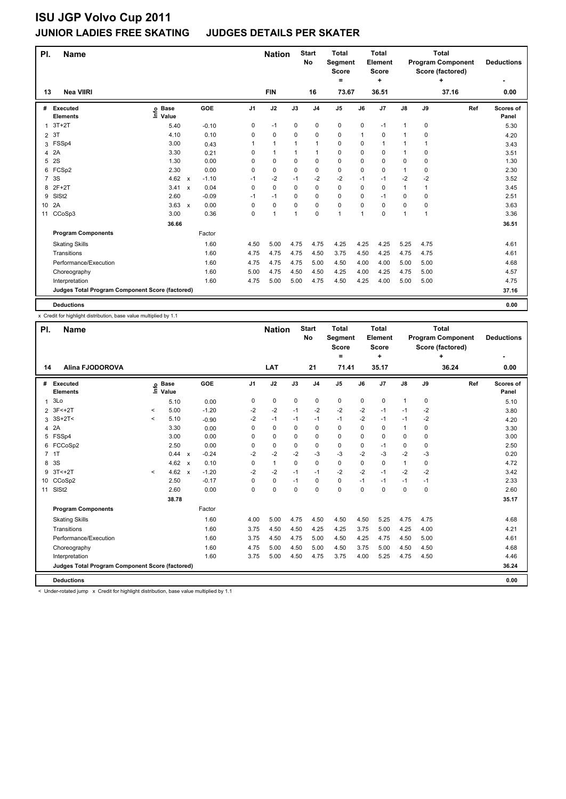### **JUNIOR LADIES FREE SKATING JUDGES DETAILS PER SKATER**

| PI.             | <b>Name</b>                                     |                            |              |         |      | <b>Nation</b>  |             | <b>Start</b><br><b>No</b> | <b>Total</b><br>Segment<br><b>Score</b><br>= |      | <b>Total</b><br>Element<br>Score<br>÷ |               |                | <b>Total</b><br><b>Program Component</b><br>Score (factored)<br>4 | <b>Deductions</b>  |
|-----------------|-------------------------------------------------|----------------------------|--------------|---------|------|----------------|-------------|---------------------------|----------------------------------------------|------|---------------------------------------|---------------|----------------|-------------------------------------------------------------------|--------------------|
| 13              | <b>Nea VIIRI</b>                                |                            |              |         |      | <b>FIN</b>     |             | 16                        | 73.67                                        |      | 36.51                                 |               |                | 37.16                                                             | 0.00               |
| #               | Executed<br><b>Elements</b>                     | e Base<br>E Value<br>Value |              | GOE     | J1   | J2             | J3          | J <sub>4</sub>            | J <sub>5</sub>                               | J6   | J7                                    | $\mathsf{J}8$ | J9             | Ref                                                               | Scores of<br>Panel |
| 1               | $3T+2T$                                         | 5.40                       |              | $-0.10$ | 0    | $-1$           | 0           | 0                         | 0                                            | 0    | $-1$                                  | $\mathbf{1}$  | 0              |                                                                   | 5.30               |
| $\overline{2}$  | 3T                                              | 4.10                       |              | 0.10    | 0    | 0              | 0           | 0                         | 0                                            | 1    | 0                                     | 1             | 0              |                                                                   | 4.20               |
| 3               | FSSp4                                           | 3.00                       |              | 0.43    |      | $\mathbf{1}$   | 1           | $\mathbf{1}$              | 0                                            | 0    | 1                                     | 1             | 1              |                                                                   | 3.43               |
| 4               | 2A                                              | 3.30                       |              | 0.21    | 0    | $\mathbf{1}$   | 1           | $\mathbf{1}$              | $\mathbf 0$                                  | 0    | 0                                     | 1             | 0              |                                                                   | 3.51               |
| 5               | 2S                                              | 1.30                       |              | 0.00    | 0    | $\pmb{0}$      | $\mathbf 0$ | $\pmb{0}$                 | $\pmb{0}$                                    | 0    | 0                                     | 0             | 0              |                                                                   | 1.30               |
| 6               | FCSp2                                           | 2.30                       |              | 0.00    | 0    | 0              | $\Omega$    | 0                         | 0                                            | 0    | 0                                     | 1             | 0              |                                                                   | 2.30               |
| $\overline{7}$  | 3S                                              | 4.62                       | $\mathsf{x}$ | $-1.10$ | $-1$ | $-2$           | $-1$        | $-2$                      | $-2$                                         | $-1$ | $-1$                                  | $-2$          | $-2$           |                                                                   | 3.52               |
| 8               | $2F+2T$                                         | 3.41                       | $\mathsf{x}$ | 0.04    | 0    | $\mathbf 0$    | $\Omega$    | 0                         | $\mathbf 0$                                  | 0    | $\mathbf 0$                           | 1             | 1              |                                                                   | 3.45               |
| 9               | SISt <sub>2</sub>                               | 2.60                       |              | $-0.09$ | $-1$ | -1             | 0           | 0                         | 0                                            | 0    | $-1$                                  | 0             | 0              |                                                                   | 2.51               |
| 10 <sup>°</sup> | 2A                                              | 3.63                       | $\mathsf{x}$ | 0.00    | 0    | $\mathbf 0$    | $\Omega$    | $\mathbf 0$               | $\mathbf 0$                                  | 0    | $\Omega$                              | 0             | 0              |                                                                   | 3.63               |
| 11              | CCoSp3                                          | 3.00                       |              | 0.36    | 0    | $\overline{1}$ | 1           | 0                         | $\mathbf{1}$                                 | 1    | 0                                     | 1             | $\overline{1}$ |                                                                   | 3.36               |
|                 |                                                 | 36.66                      |              |         |      |                |             |                           |                                              |      |                                       |               |                |                                                                   | 36.51              |
|                 | <b>Program Components</b>                       |                            |              | Factor  |      |                |             |                           |                                              |      |                                       |               |                |                                                                   |                    |
|                 | <b>Skating Skills</b>                           |                            |              | 1.60    | 4.50 | 5.00           | 4.75        | 4.75                      | 4.25                                         | 4.25 | 4.25                                  | 5.25          | 4.75           |                                                                   | 4.61               |
|                 | Transitions                                     |                            |              | 1.60    | 4.75 | 4.75           | 4.75        | 4.50                      | 3.75                                         | 4.50 | 4.25                                  | 4.75          | 4.75           |                                                                   | 4.61               |
|                 | Performance/Execution                           |                            |              | 1.60    | 4.75 | 4.75           | 4.75        | 5.00                      | 4.50                                         | 4.00 | 4.00                                  | 5.00          | 5.00           |                                                                   | 4.68               |
|                 | Choreography                                    |                            |              | 1.60    | 5.00 | 4.75           | 4.50        | 4.50                      | 4.25                                         | 4.00 | 4.25                                  | 4.75          | 5.00           |                                                                   | 4.57               |
|                 | Interpretation                                  |                            |              | 1.60    | 4.75 | 5.00           | 5.00        | 4.75                      | 4.50                                         | 4.25 | 4.00                                  | 5.00          | 5.00           |                                                                   | 4.75               |
|                 | Judges Total Program Component Score (factored) |                            |              |         |      |                |             |                           |                                              |      |                                       |               |                |                                                                   | 37.16              |
|                 | <b>Deductions</b>                               |                            |              |         |      |                |             |                           |                                              |      |                                       |               |                |                                                                   | 0.00               |

x Credit for highlight distribution, base value multiplied by 1.1

| PI. | <b>Name</b>                                     |          |                            |                         |                | <b>Nation</b> |             | <b>Start</b><br>No | <b>Total</b><br><b>Segment</b><br><b>Score</b><br>= |          | <b>Total</b><br><b>Element</b><br><b>Score</b><br>÷ |               |             | <b>Total</b><br><b>Program Component</b><br>Score (factored)<br>÷ | <b>Deductions</b>         |
|-----|-------------------------------------------------|----------|----------------------------|-------------------------|----------------|---------------|-------------|--------------------|-----------------------------------------------------|----------|-----------------------------------------------------|---------------|-------------|-------------------------------------------------------------------|---------------------------|
| 14  | <b>Alina FJODOROVA</b>                          |          |                            |                         |                | LAT           |             | 21                 | 71.41                                               |          | 35.17                                               |               |             | 36.24                                                             | 0.00                      |
|     |                                                 |          |                            |                         |                |               |             |                    |                                                     |          |                                                     |               |             |                                                                   |                           |
| #   | <b>Executed</b><br><b>Elements</b>              |          | e Base<br>E Value<br>Value | GOE                     | J <sub>1</sub> | J2            | J3          | J <sub>4</sub>     | J <sub>5</sub>                                      | J6       | J7                                                  | $\mathsf{J}8$ | J9          | Ref                                                               | <b>Scores of</b><br>Panel |
| 1   | 3Lo                                             |          | 5.10                       | 0.00                    | 0              | $\pmb{0}$     | 0           | $\pmb{0}$          | $\pmb{0}$                                           | 0        | 0                                                   | $\mathbf{1}$  | $\mathbf 0$ |                                                                   | 5.10                      |
| 2   | 3F <sub>2</sub>                                 | $\prec$  | 5.00                       | $-1.20$                 | $-2$           | $-2$          | $-1$        | $-2$               | $-2$                                                | $-2$     | $-1$                                                | $-1$          | $-2$        |                                                                   | 3.80                      |
| 3   | $3S+2T<$                                        | $\hat{}$ | 5.10                       | $-0.90$                 | $-2$           | $-1$          | $-1$        | $-1$               | $-1$                                                | $-2$     | $-1$                                                | $-1$          | $-2$        |                                                                   | 4.20                      |
| 4   | 2A                                              |          | 3.30                       | 0.00                    | 0              | $\mathbf 0$   | $\Omega$    | $\pmb{0}$          | $\mathbf 0$                                         | $\Omega$ | 0                                                   | $\mathbf{1}$  | 0           |                                                                   | 3.30                      |
| 5   | FSSp4                                           |          | 3.00                       | 0.00                    | 0              | $\mathbf 0$   | 0           | 0                  | 0                                                   | 0        | 0                                                   | 0             | 0           |                                                                   | 3.00                      |
| 6   | FCCoSp2                                         |          | 2.50                       | 0.00                    | 0              | 0             | 0           | 0                  | 0                                                   | 0        | $-1$                                                | 0             | 0           |                                                                   | 2.50                      |
|     | 7 1T                                            |          | 0.44                       | $-0.24$<br>$\mathsf{x}$ | $-2$           | $-2$          | $-2$        | $-3$               | $-3$                                                | $-2$     | $-3$                                                | $-2$          | $-3$        |                                                                   | 0.20                      |
| 8   | 3S                                              |          | $4.62 \times$              | 0.10                    | 0              | $\mathbf{1}$  | $\Omega$    | $\mathbf 0$        | $\mathbf 0$                                         | $\Omega$ | $\Omega$                                            | $\mathbf{1}$  | 0           |                                                                   | 4.72                      |
| 9   | $3T < +2T$                                      | $\prec$  | 4.62                       | $-1.20$<br>$\mathsf{x}$ | $-2$           | $-2$          | $-1$        | $-1$               | $-2$                                                | $-2$     | $-1$                                                | $-2$          | $-2$        |                                                                   | 3.42                      |
|     | 10 CCoSp2                                       |          | 2.50                       | $-0.17$                 | 0              | 0             | $-1$        | 0                  | 0                                                   | $-1$     | $-1$                                                | $-1$          | $-1$        |                                                                   | 2.33                      |
| 11  | SISt <sub>2</sub>                               |          | 2.60                       | 0.00                    | 0              | $\mathbf 0$   | $\mathbf 0$ | 0                  | $\mathbf 0$                                         | 0        | 0                                                   | 0             | 0           |                                                                   | 2.60                      |
|     |                                                 |          | 38.78                      |                         |                |               |             |                    |                                                     |          |                                                     |               |             |                                                                   | 35.17                     |
|     | <b>Program Components</b>                       |          |                            | Factor                  |                |               |             |                    |                                                     |          |                                                     |               |             |                                                                   |                           |
|     | <b>Skating Skills</b>                           |          |                            | 1.60                    | 4.00           | 5.00          | 4.75        | 4.50               | 4.50                                                | 4.50     | 5.25                                                | 4.75          | 4.75        |                                                                   | 4.68                      |
|     | Transitions                                     |          |                            | 1.60                    | 3.75           | 4.50          | 4.50        | 4.25               | 4.25                                                | 3.75     | 5.00                                                | 4.25          | 4.00        |                                                                   | 4.21                      |
|     | Performance/Execution                           |          |                            | 1.60                    | 3.75           | 4.50          | 4.75        | 5.00               | 4.50                                                | 4.25     | 4.75                                                | 4.50          | 5.00        |                                                                   | 4.61                      |
|     | Choreography                                    |          |                            | 1.60                    | 4.75           | 5.00          | 4.50        | 5.00               | 4.50                                                | 3.75     | 5.00                                                | 4.50          | 4.50        |                                                                   | 4.68                      |
|     | Interpretation                                  |          |                            | 1.60                    | 3.75           | 5.00          | 4.50        | 4.75               | 3.75                                                | 4.00     | 5.25                                                | 4.75          | 4.50        |                                                                   | 4.46                      |
|     | Judges Total Program Component Score (factored) |          |                            |                         |                |               |             |                    |                                                     |          |                                                     |               |             |                                                                   | 36.24                     |
|     | <b>Deductions</b>                               |          |                            |                         |                |               |             |                    |                                                     |          |                                                     |               |             |                                                                   | 0.00                      |

< Under-rotated jump x Credit for highlight distribution, base value multiplied by 1.1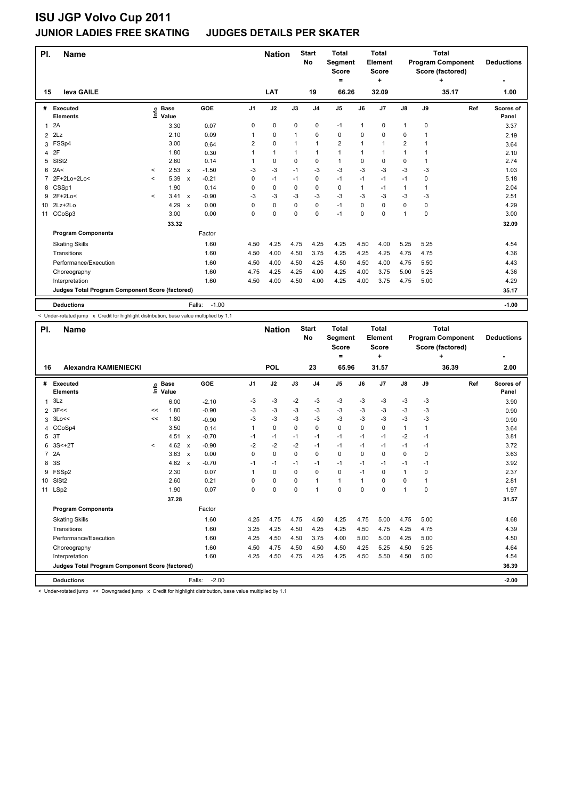### **ISU JGP Volvo Cup 2011 JUNIOR LADIES FREE SKATING JUDGES DETAILS PER SKATER**

| PI.             | <b>Name</b>                                     |              |                            |                           |                   |                | <b>Nation</b> |              | <b>Start</b><br>No | <b>Total</b><br>Segment<br><b>Score</b><br>$=$ |              | <b>Total</b><br>Element<br><b>Score</b><br>÷ |                |             | <b>Total</b><br><b>Program Component</b><br>Score (factored)<br>÷ | <b>Deductions</b>  |
|-----------------|-------------------------------------------------|--------------|----------------------------|---------------------------|-------------------|----------------|---------------|--------------|--------------------|------------------------------------------------|--------------|----------------------------------------------|----------------|-------------|-------------------------------------------------------------------|--------------------|
| 15              | leva GAILE                                      |              |                            |                           |                   |                | LAT           |              | 19                 | 66.26                                          |              | 32.09                                        |                |             | 35.17                                                             | 1.00               |
| #               | <b>Executed</b><br><b>Elements</b>              |              | e Base<br>E Value<br>Value |                           | GOE               | J <sub>1</sub> | J2            | J3           | J <sub>4</sub>     | J <sub>5</sub>                                 | J6           | J7                                           | $\mathsf{J}8$  | J9          | Ref                                                               | Scores of<br>Panel |
| $\mathbf{1}$    | 2A                                              |              | 3.30                       |                           | 0.07              | 0              | 0             | $\mathbf 0$  | $\mathbf 0$        | $-1$                                           | $\mathbf{1}$ | 0                                            | $\mathbf{1}$   | 0           |                                                                   | 3.37               |
| $\overline{2}$  | 2Lz                                             |              | 2.10                       |                           | 0.09              | 1              | 0             | $\mathbf{1}$ | $\Omega$           | 0                                              | 0            | 0                                            | 0              | 1           |                                                                   | 2.19               |
| 3               | FSSp4                                           |              | 3.00                       |                           | 0.64              | $\overline{2}$ | 0             | $\mathbf{1}$ | $\mathbf{1}$       | $\overline{2}$                                 | 1            | $\overline{1}$                               | $\overline{2}$ | 1           |                                                                   | 3.64               |
| 4               | 2F                                              |              | 1.80                       |                           | 0.30              | 1              | $\mathbf{1}$  | $\mathbf{1}$ | $\mathbf{1}$       | $\mathbf{1}$                                   | 1            | 1                                            | $\mathbf{1}$   |             |                                                                   | 2.10               |
| 5               | SISt <sub>2</sub>                               |              | 2.60                       |                           | 0.14              | 1              | 0             | 0            | $\mathbf 0$        | $\mathbf{1}$                                   | 0            | 0                                            | 0              | 1           |                                                                   | 2.74               |
| 6               | 2A<                                             | $\checkmark$ | 2.53                       | $\mathsf{x}$              | $-1.50$           | -3             | $-3$          | $-1$         | $-3$               | $-3$                                           | $-3$         | $-3$                                         | $-3$           | -3          |                                                                   | 1.03               |
| 7               | 2F+2Lo+2Lo<                                     | $\hat{}$     | 5.39                       | $\boldsymbol{\mathsf{x}}$ | $-0.21$           | 0              | $-1$          | $-1$         | $\mathbf 0$        | $-1$                                           | $-1$         | $-1$                                         | $-1$           | 0           |                                                                   | 5.18               |
|                 | 8 CSSp1                                         |              | 1.90                       |                           | 0.14              | 0              | 0             | 0            | 0                  | 0                                              | 1            | $-1$                                         | $\mathbf{1}$   | 1           |                                                                   | 2.04               |
| 9               | $2F+2Lo<$                                       | $\prec$      | 3.41                       | $\mathsf{x}$              | $-0.90$           | $-3$           | -3            | $-3$         | $-3$               | $-3$                                           | $-3$         | $-3$                                         | $-3$           | $-3$        |                                                                   | 2.51               |
| 10 <sup>1</sup> | $2Lz+2Lo$                                       |              | 4.29                       | $\boldsymbol{\mathsf{x}}$ | 0.00              | $\Omega$       | $\Omega$      | 0            | $\Omega$           | $-1$                                           | $\Omega$     | $\Omega$                                     | $\Omega$       | $\Omega$    |                                                                   | 4.29               |
| 11              | CCoSp3                                          |              | 3.00                       |                           | 0.00              | 0              | 0             | 0            | $\mathbf 0$        | $-1$                                           | 0            | 0                                            | 1              | $\mathbf 0$ |                                                                   | 3.00               |
|                 |                                                 |              | 33.32                      |                           |                   |                |               |              |                    |                                                |              |                                              |                |             |                                                                   | 32.09              |
|                 | <b>Program Components</b>                       |              |                            |                           | Factor            |                |               |              |                    |                                                |              |                                              |                |             |                                                                   |                    |
|                 | <b>Skating Skills</b>                           |              |                            |                           | 1.60              | 4.50           | 4.25          | 4.75         | 4.25               | 4.25                                           | 4.50         | 4.00                                         | 5.25           | 5.25        |                                                                   | 4.54               |
|                 | Transitions                                     |              |                            |                           | 1.60              | 4.50           | 4.00          | 4.50         | 3.75               | 4.25                                           | 4.25         | 4.25                                         | 4.75           | 4.75        |                                                                   | 4.36               |
|                 | Performance/Execution                           |              |                            |                           | 1.60              | 4.50           | 4.00          | 4.50         | 4.25               | 4.50                                           | 4.50         | 4.00                                         | 4.75           | 5.50        |                                                                   | 4.43               |
|                 | Choreography                                    |              |                            |                           | 1.60              | 4.75           | 4.25          | 4.25         | 4.00               | 4.25                                           | 4.00         | 3.75                                         | 5.00           | 5.25        |                                                                   | 4.36               |
|                 | Interpretation                                  |              |                            |                           | 1.60              | 4.50           | 4.00          | 4.50         | 4.00               | 4.25                                           | 4.00         | 3.75                                         | 4.75           | 5.00        |                                                                   | 4.29               |
|                 | Judges Total Program Component Score (factored) |              |                            |                           |                   |                |               |              |                    |                                                |              |                                              |                |             |                                                                   | 35.17              |
|                 | <b>Deductions</b>                               |              |                            |                           | $-1.00$<br>Falls: |                |               |              |                    |                                                |              |                                              |                |             |                                                                   | $-1.00$            |

< Under-rotated jump x Credit for highlight distribution, base value multiplied by 1.1

| PI.             | <b>Name</b>                                     |         |                            |                                      |                | <b>Nation</b> |          | <b>Start</b><br>No | <b>Total</b><br><b>Segment</b><br><b>Score</b><br>$\equiv$ |          | <b>Total</b><br>Element<br><b>Score</b><br>÷ |               |              | <b>Total</b><br><b>Program Component</b><br>Score (factored)<br>4 | <b>Deductions</b>  |
|-----------------|-------------------------------------------------|---------|----------------------------|--------------------------------------|----------------|---------------|----------|--------------------|------------------------------------------------------------|----------|----------------------------------------------|---------------|--------------|-------------------------------------------------------------------|--------------------|
| 16              | <b>Alexandra KAMIENIECKI</b>                    |         |                            |                                      |                | POL           |          | 23                 | 65.96                                                      |          | 31.57                                        |               |              | 36.39                                                             | 2.00               |
| #               | Executed<br><b>Elements</b>                     |         | e Base<br>E Value<br>Value | GOE                                  | J <sub>1</sub> | J2            | J3       | J <sub>4</sub>     | J <sub>5</sub>                                             | J6       | J7                                           | $\mathsf{J}8$ | J9           | Ref                                                               | Scores of<br>Panel |
| 1               | 3Lz                                             |         | 6.00                       | $-2.10$                              | $-3$           | $-3$          | $-2$     | $-3$               | $-3$                                                       | $-3$     | $-3$                                         | $-3$          | $-3$         |                                                                   | 3.90               |
| $\overline{2}$  | 3F<<                                            | <<      | 1.80                       | $-0.90$                              | $-3$           | -3            | $-3$     | -3                 | $-3$                                                       | -3       | $-3$                                         | -3            | -3           |                                                                   | 0.90               |
| 3               | 3Lo<<                                           | <<      | 1.80                       | $-0.90$                              | -3             | $-3$          | $-3$     | $-3$               | $-3$                                                       | $-3$     | $-3$                                         | $-3$          | -3           |                                                                   | 0.90               |
| 4               | CCoSp4                                          |         | 3.50                       | 0.14                                 | 1              | $\mathbf 0$   | $\Omega$ | $\mathbf 0$        | 0                                                          | $\Omega$ | $\mathbf 0$                                  | $\mathbf{1}$  | $\mathbf{1}$ |                                                                   | 3.64               |
| 5               | 3T                                              |         | 4.51                       | $-0.70$<br>$\boldsymbol{\mathsf{x}}$ | $-1$           | $-1$          | $-1$     | $-1$               | $-1$                                                       | $-1$     | $-1$                                         | $-2$          | $-1$         |                                                                   | 3.81               |
| 6               | $3S<+2T$                                        | $\prec$ | 4.62                       | $-0.90$<br>$\boldsymbol{\mathsf{x}}$ | $-2$           | $-2$          | $-2$     | $-1$               | $-1$                                                       | $-1$     | $-1$                                         | $-1$          | $-1$         |                                                                   | 3.72               |
|                 | 7 2A                                            |         | 3.63                       | 0.00<br>$\mathsf{x}$                 | 0              | $\Omega$      | 0        | $\Omega$           | $\Omega$                                                   | $\Omega$ | $\Omega$                                     | 0             | $\Omega$     |                                                                   | 3.63               |
| 8               | 3S                                              |         | 4.62                       | $-0.70$<br>$\boldsymbol{\mathsf{x}}$ | $-1$           | $-1$          | $-1$     | $-1$               | $-1$                                                       | $-1$     | $-1$                                         | $-1$          | $-1$         |                                                                   | 3.92               |
| 9               | FSSp2                                           |         | 2.30                       | 0.07                                 | 1              | $\mathbf 0$   | 0        | $\mathbf 0$        | $\Omega$                                                   | $-1$     | $\Omega$                                     | $\mathbf{1}$  | 0            |                                                                   | 2.37               |
| 10 <sup>1</sup> | SIS <sub>t2</sub>                               |         | 2.60                       | 0.21                                 | $\Omega$       | $\Omega$      | $\Omega$ | $\mathbf{1}$       | $\mathbf{1}$                                               | 1        | $\Omega$                                     | 0             | $\mathbf{1}$ |                                                                   | 2.81               |
|                 | 11 LSp2                                         |         | 1.90                       | 0.07                                 | 0              | $\Omega$      | $\Omega$ | $\mathbf{1}$       | $\Omega$                                                   | 0        | $\Omega$                                     | 1             | 0            |                                                                   | 1.97               |
|                 |                                                 |         | 37.28                      |                                      |                |               |          |                    |                                                            |          |                                              |               |              |                                                                   | 31.57              |
|                 | <b>Program Components</b>                       |         |                            | Factor                               |                |               |          |                    |                                                            |          |                                              |               |              |                                                                   |                    |
|                 | <b>Skating Skills</b>                           |         |                            | 1.60                                 | 4.25           | 4.75          | 4.75     | 4.50               | 4.25                                                       | 4.75     | 5.00                                         | 4.75          | 5.00         |                                                                   | 4.68               |
|                 | Transitions                                     |         |                            | 1.60                                 | 3.25           | 4.25          | 4.50     | 4.25               | 4.25                                                       | 4.50     | 4.75                                         | 4.25          | 4.75         |                                                                   | 4.39               |
|                 | Performance/Execution                           |         |                            | 1.60                                 | 4.25           | 4.50          | 4.50     | 3.75               | 4.00                                                       | 5.00     | 5.00                                         | 4.25          | 5.00         |                                                                   | 4.50               |
|                 | Choreography                                    |         |                            | 1.60                                 | 4.50           | 4.75          | 4.50     | 4.50               | 4.50                                                       | 4.25     | 5.25                                         | 4.50          | 5.25         |                                                                   | 4.64               |
|                 | Interpretation                                  |         |                            | 1.60                                 | 4.25           | 4.50          | 4.75     | 4.25               | 4.25                                                       | 4.50     | 5.50                                         | 4.50          | 5.00         |                                                                   | 4.54               |
|                 | Judges Total Program Component Score (factored) |         |                            |                                      |                |               |          |                    |                                                            |          |                                              |               |              |                                                                   | 36.39              |
|                 | <b>Deductions</b>                               |         |                            | $-2.00$<br>Falls:                    |                |               |          |                    |                                                            |          |                                              |               |              |                                                                   | $-2.00$            |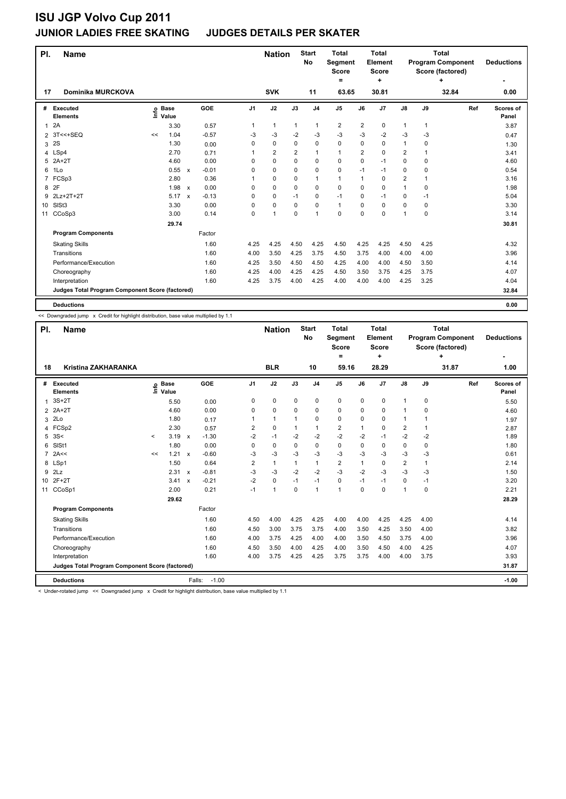### **JUNIOR LADIES FREE SKATING JUDGES DETAILS PER SKATER**

| PI.            | <b>Name</b>                                     |    |                            |                           |         |                | <b>Nation</b>  |                | <b>Start</b><br><b>No</b> | <b>Total</b><br>Segment<br><b>Score</b><br>$=$ |                         | <b>Total</b><br>Element<br><b>Score</b><br>٠ |                |             | <b>Total</b><br><b>Program Component</b><br>Score (factored)<br>٠ | <b>Deductions</b>  |
|----------------|-------------------------------------------------|----|----------------------------|---------------------------|---------|----------------|----------------|----------------|---------------------------|------------------------------------------------|-------------------------|----------------------------------------------|----------------|-------------|-------------------------------------------------------------------|--------------------|
| 17             | <b>Dominika MURCKOVA</b>                        |    |                            |                           |         |                | <b>SVK</b>     |                | 11                        | 63.65                                          |                         | 30.81                                        |                |             | 32.84                                                             | 0.00               |
| #              | <b>Executed</b><br><b>Elements</b>              |    | e Base<br>E Value<br>Value |                           | GOE     | J <sub>1</sub> | J2             | J3             | J <sub>4</sub>            | J5                                             | J6                      | J7                                           | $\mathsf{J}8$  | J9          | Ref                                                               | Scores of<br>Panel |
| $\mathbf{1}$   | 2A                                              |    | 3.30                       |                           | 0.57    | 1              | $\mathbf{1}$   | 1              | 1                         | $\overline{2}$                                 | $\overline{\mathbf{c}}$ | 0                                            | 1              | 1           |                                                                   | 3.87               |
| $\overline{2}$ | $3T<<+SEQ$                                      | << | 1.04                       |                           | $-0.57$ | -3             | -3             | $-2$           | -3                        | $-3$                                           | -3                      | $-2$                                         | -3             | -3          |                                                                   | 0.47               |
| 3              | 2S                                              |    | 1.30                       |                           | 0.00    | 0              | 0              | $\mathbf 0$    | $\mathbf 0$               | 0                                              | 0                       | $\mathbf 0$                                  | 1              | 0           |                                                                   | 1.30               |
| 4              | LSp4                                            |    | 2.70                       |                           | 0.71    | 1              | $\overline{2}$ | $\overline{2}$ | $\mathbf{1}$              | $\mathbf{1}$                                   | $\overline{2}$          | $\Omega$                                     | 2              | 1           |                                                                   | 3.41               |
| 5              | $2A+2T$                                         |    | 4.60                       |                           | 0.00    | 0              | 0              | 0              | $\mathbf 0$               | 0                                              | 0                       | $-1$                                         | 0              | $\mathbf 0$ |                                                                   | 4.60               |
| 6              | 1Lo                                             |    | 0.55 x                     |                           | $-0.01$ | $\Omega$       | 0              | 0              | $\mathbf 0$               | 0                                              | $-1$                    | $-1$                                         | 0              | $\Omega$    |                                                                   | 0.54               |
| 7              | FCSp3                                           |    | 2.80                       |                           | 0.36    |                | 0              | 0              | 1                         | $\mathbf{1}$                                   | 1                       | 0                                            | $\overline{2}$ | 1           |                                                                   | 3.16               |
| 8              | 2F                                              |    | $1.98 \times$              |                           | 0.00    | 0              | $\mathbf 0$    | 0              | 0                         | 0                                              | $\Omega$                | 0                                            | $\mathbf{1}$   | 0           |                                                                   | 1.98               |
| 9              | 2Lz+2T+2T                                       |    | 5.17                       | $\boldsymbol{\mathsf{x}}$ | $-0.13$ | 0              | 0              | $-1$           | $\mathbf 0$               | $-1$                                           | 0                       | $-1$                                         | 0              | -1          |                                                                   | 5.04               |
| 10             | SISt <sub>3</sub>                               |    | 3.30                       |                           | 0.00    | $\Omega$       | 0              | 0              | 0                         | $\mathbf{1}$                                   | $\Omega$                | 0                                            | 0              | 0           |                                                                   | 3.30               |
| 11             | CCoSp3                                          |    | 3.00                       |                           | 0.14    | 0              | $\overline{1}$ | $\mathbf 0$    | $\overline{1}$            | 0                                              | 0                       | 0                                            | 1              | $\mathbf 0$ |                                                                   | 3.14               |
|                |                                                 |    | 29.74                      |                           |         |                |                |                |                           |                                                |                         |                                              |                |             |                                                                   | 30.81              |
|                | <b>Program Components</b>                       |    |                            |                           | Factor  |                |                |                |                           |                                                |                         |                                              |                |             |                                                                   |                    |
|                | <b>Skating Skills</b>                           |    |                            |                           | 1.60    | 4.25           | 4.25           | 4.50           | 4.25                      | 4.50                                           | 4.25                    | 4.25                                         | 4.50           | 4.25        |                                                                   | 4.32               |
|                | Transitions                                     |    |                            |                           | 1.60    | 4.00           | 3.50           | 4.25           | 3.75                      | 4.50                                           | 3.75                    | 4.00                                         | 4.00           | 4.00        |                                                                   | 3.96               |
|                | Performance/Execution                           |    |                            |                           | 1.60    | 4.25           | 3.50           | 4.50           | 4.50                      | 4.25                                           | 4.00                    | 4.00                                         | 4.50           | 3.50        |                                                                   | 4.14               |
|                | Choreography                                    |    |                            |                           | 1.60    | 4.25           | 4.00           | 4.25           | 4.25                      | 4.50                                           | 3.50                    | 3.75                                         | 4.25           | 3.75        |                                                                   | 4.07               |
|                | Interpretation                                  |    |                            |                           | 1.60    | 4.25           | 3.75           | 4.00           | 4.25                      | 4.00                                           | 4.00                    | 4.00                                         | 4.25           | 3.25        |                                                                   | 4.04               |
|                | Judges Total Program Component Score (factored) |    |                            |                           |         |                |                |                |                           |                                                |                         |                                              |                |             |                                                                   | 32.84              |
|                | <b>Deductions</b>                               |    |                            |                           |         |                |                |                |                           |                                                |                         |                                              |                |             |                                                                   | 0.00               |

<< Downgraded jump x Credit for highlight distribution, base value multiplied by 1.1

| PI.            | <b>Name</b>                                     |              |                      |                           |                   |                | <b>Nation</b> |              | <b>Start</b><br><b>No</b> | Total<br>Segment<br><b>Score</b><br>$\equiv$ |          | Total<br>Element<br><b>Score</b><br>÷ |                |              | Total<br><b>Program Component</b><br>Score (factored)<br>÷ | <b>Deductions</b>         |
|----------------|-------------------------------------------------|--------------|----------------------|---------------------------|-------------------|----------------|---------------|--------------|---------------------------|----------------------------------------------|----------|---------------------------------------|----------------|--------------|------------------------------------------------------------|---------------------------|
| 18             | <b>Kristina ZAKHARANKA</b>                      |              |                      |                           |                   |                | <b>BLR</b>    |              | 10                        | 59.16                                        |          | 28.29                                 |                |              | 31.87                                                      | 1.00                      |
| #              | <b>Executed</b><br><b>Elements</b>              | Info         | <b>Base</b><br>Value |                           | <b>GOE</b>        | J1             | J2            | J3           | J <sub>4</sub>            | J <sub>5</sub>                               | J6       | J7                                    | $\mathsf{J}8$  | J9           | Ref                                                        | <b>Scores of</b><br>Panel |
| 1              | $3S+2T$                                         |              | 5.50                 |                           | 0.00              | 0              | $\mathbf 0$   | $\mathbf 0$  | $\mathbf 0$               | 0                                            | 0        | $\mathbf 0$                           | 1              | $\mathbf 0$  |                                                            | 5.50                      |
|                | 2 2A+2T                                         |              | 4.60                 |                           | 0.00              | 0              | $\mathbf 0$   | 0            | $\mathbf 0$               | 0                                            | 0        | 0                                     | 1              | 0            |                                                            | 4.60                      |
| 3              | 2 <sub>0</sub>                                  |              | 1.80                 |                           | 0.17              | 1              | $\mathbf{1}$  | 1            | $\mathbf 0$               | 0                                            | 0        | 0                                     | 1              | 1            |                                                            | 1.97                      |
| $\overline{4}$ | FCSp2                                           |              | 2.30                 |                           | 0.57              | 2              | 0             | $\mathbf{1}$ | $\mathbf{1}$              | $\overline{2}$                               | 1        | 0                                     | $\overline{2}$ | $\mathbf{1}$ |                                                            | 2.87                      |
| 5              | 3S<                                             | $\checkmark$ | 3.19                 | $\mathbf{x}$              | $-1.30$           | $-2$           | $-1$          | $-2$         | $-2$                      | $-2$                                         | $-2$     | $-1$                                  | $-2$           | $-2$         |                                                            | 1.89                      |
| 6              | SIS <sub>t1</sub>                               |              | 1.80                 |                           | 0.00              | 0              | 0             | 0            | $\mathbf 0$               | 0                                            | 0        | 0                                     | 0              | 0            |                                                            | 1.80                      |
| $\overline{7}$ | 2A<<                                            | <<           | 1.21                 | $\boldsymbol{\mathsf{x}}$ | $-0.60$           | $-3$           | -3            | -3           | $-3$                      | $-3$                                         | $-3$     | $-3$                                  | $-3$           | -3           |                                                            | 0.61                      |
| 8              | LSp1                                            |              | 1.50                 |                           | 0.64              | $\overline{2}$ | $\mathbf{1}$  | $\mathbf{1}$ | $\mathbf{1}$              | $\overline{2}$                               | 1        | 0                                     | $\overline{2}$ | $\mathbf{1}$ |                                                            | 2.14                      |
| 9              | 2Lz                                             |              | 2.31                 | $\mathbf{x}$              | $-0.81$           | $-3$           | -3            | $-2$         | $-2$                      | $-3$                                         | $-2$     | $-3$                                  | $-3$           | -3           |                                                            | 1.50                      |
| 10             | $2F+2T$                                         |              | 3.41                 | $\boldsymbol{\mathsf{x}}$ | $-0.21$           | $-2$           | 0             | $-1$         | $-1$                      | 0                                            | $-1$     | $-1$                                  | 0              | $-1$         |                                                            | 3.20                      |
| 11             | CCoSp1                                          |              | 2.00                 |                           | 0.21              | $-1$           | 1             | 0            | $\mathbf{1}$              | 1                                            | $\Omega$ | 0                                     | 1              | 0            |                                                            | 2.21                      |
|                |                                                 |              | 29.62                |                           |                   |                |               |              |                           |                                              |          |                                       |                |              |                                                            | 28.29                     |
|                | <b>Program Components</b>                       |              |                      |                           | Factor            |                |               |              |                           |                                              |          |                                       |                |              |                                                            |                           |
|                | <b>Skating Skills</b>                           |              |                      |                           | 1.60              | 4.50           | 4.00          | 4.25         | 4.25                      | 4.00                                         | 4.00     | 4.25                                  | 4.25           | 4.00         |                                                            | 4.14                      |
|                | Transitions                                     |              |                      |                           | 1.60              | 4.50           | 3.00          | 3.75         | 3.75                      | 4.00                                         | 3.50     | 4.25                                  | 3.50           | 4.00         |                                                            | 3.82                      |
|                | Performance/Execution                           |              |                      |                           | 1.60              | 4.00           | 3.75          | 4.25         | 4.00                      | 4.00                                         | 3.50     | 4.50                                  | 3.75           | 4.00         |                                                            | 3.96                      |
|                | Choreography                                    |              |                      |                           | 1.60              | 4.50           | 3.50          | 4.00         | 4.25                      | 4.00                                         | 3.50     | 4.50                                  | 4.00           | 4.25         |                                                            | 4.07                      |
|                | Interpretation                                  |              |                      |                           | 1.60              | 4.00           | 3.75          | 4.25         | 4.25                      | 3.75                                         | 3.75     | 4.00                                  | 4.00           | 3.75         |                                                            | 3.93                      |
|                | Judges Total Program Component Score (factored) |              |                      |                           |                   |                |               |              |                           |                                              |          |                                       |                |              |                                                            | 31.87                     |
|                | <b>Deductions</b>                               |              |                      |                           | $-1.00$<br>Falls: |                |               |              |                           |                                              |          |                                       |                |              |                                                            | $-1.00$                   |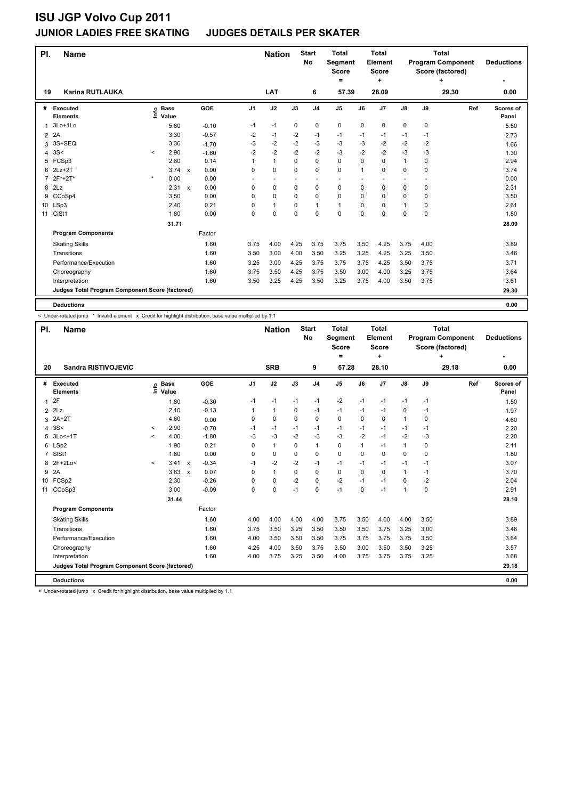### **JUNIOR LADIES FREE SKATING JUDGES DETAILS PER SKATER**

| PI.             | <b>Name</b>                                     |              |                            |                      |      | <b>Nation</b> |             | <b>Start</b><br><b>No</b> | <b>Total</b><br>Segment<br><b>Score</b><br>= |      | <b>Total</b><br>Element<br><b>Score</b><br>٠ |               |             | <b>Total</b><br><b>Program Component</b><br>Score (factored)<br>٠ | <b>Deductions</b>         |
|-----------------|-------------------------------------------------|--------------|----------------------------|----------------------|------|---------------|-------------|---------------------------|----------------------------------------------|------|----------------------------------------------|---------------|-------------|-------------------------------------------------------------------|---------------------------|
| 19              | <b>Karina RUTLAUKA</b>                          |              |                            |                      |      | LAT           |             | 6                         | 57.39                                        |      | 28.09                                        |               |             | 29.30                                                             | 0.00                      |
| #               | <b>Executed</b><br><b>Elements</b>              |              | e Base<br>E Value<br>Value | GOE                  | J1   | J2            | J3          | J <sub>4</sub>            | $\mathsf{J}5$                                | J6   | J7                                           | $\mathsf{J}8$ | J9          | Ref                                                               | <b>Scores of</b><br>Panel |
| 1               | 3Lo+1Lo                                         |              | 5.60                       | $-0.10$              | $-1$ | $-1$          | 0           | $\pmb{0}$                 | $\mathbf 0$                                  | 0    | 0                                            | 0             | 0           |                                                                   | 5.50                      |
| $\overline{2}$  | 2A                                              |              | 3.30                       | $-0.57$              | $-2$ | $-1$          | $-2$        | $-1$                      | $-1$                                         | $-1$ | $-1$                                         | $-1$          | $-1$        |                                                                   | 2.73                      |
| 3               | 3S+SEQ                                          |              | 3.36                       | $-1.70$              | $-3$ | $-2$          | $-2$        | $-3$                      | $-3$                                         | $-3$ | $-2$                                         | $-2$          | $-2$        |                                                                   | 1.66                      |
| 4               | 3S<                                             | $\checkmark$ | 2.90                       | $-1.60$              | $-2$ | $-2$          | $-2$        | $-2$                      | $-3$                                         | $-2$ | $-2$                                         | $-3$          | $-3$        |                                                                   | 1.30                      |
| 5               | FCSp3                                           |              | 2.80                       | 0.14                 |      | $\mathbf{1}$  | $\mathbf 0$ | $\mathbf 0$               | $\mathbf 0$                                  | 0    | $\mathbf 0$                                  | $\mathbf{1}$  | $\mathbf 0$ |                                                                   | 2.94                      |
| 6               | $2Lz+2T$                                        |              | $3.74 \times$              | 0.00                 | 0    | $\mathbf 0$   | $\Omega$    | $\mathbf 0$               | $\mathbf 0$                                  | 1    | $\Omega$                                     | 0             | 0           |                                                                   | 3.74                      |
| 7               | $2F*+2T*$                                       | $\star$      | 0.00                       | 0.00                 |      | ٠             |             | ٠                         |                                              |      |                                              |               |             |                                                                   | 0.00                      |
| 8               | 2Lz                                             |              | 2.31                       | 0.00<br>$\mathsf{x}$ | 0    | $\mathbf 0$   | $\mathbf 0$ | $\mathbf 0$               | $\mathbf 0$                                  | 0    | 0                                            | 0             | 0           |                                                                   | 2.31                      |
| 9               | CCoSp4                                          |              | 3.50                       | 0.00                 | 0    | $\mathbf 0$   | $\mathbf 0$ | $\mathbf 0$               | 0                                            | 0    | 0                                            | 0             | 0           |                                                                   | 3.50                      |
| 10 <sup>1</sup> | LSp3                                            |              | 2.40                       | 0.21                 | 0    | $\mathbf{1}$  | $\Omega$    | $\mathbf{1}$              | $\mathbf{1}$                                 | 0    | $\Omega$                                     | $\mathbf{1}$  | 0           |                                                                   | 2.61                      |
| 11              | CiSt1                                           |              | 1.80                       | 0.00                 | 0    | 0             | $\mathbf 0$ | 0                         | $\mathbf 0$                                  | 0    | 0                                            | 0             | 0           |                                                                   | 1.80                      |
|                 |                                                 |              | 31.71                      |                      |      |               |             |                           |                                              |      |                                              |               |             |                                                                   | 28.09                     |
|                 | <b>Program Components</b>                       |              |                            | Factor               |      |               |             |                           |                                              |      |                                              |               |             |                                                                   |                           |
|                 | <b>Skating Skills</b>                           |              |                            | 1.60                 | 3.75 | 4.00          | 4.25        | 3.75                      | 3.75                                         | 3.50 | 4.25                                         | 3.75          | 4.00        |                                                                   | 3.89                      |
|                 | Transitions                                     |              |                            | 1.60                 | 3.50 | 3.00          | 4.00        | 3.50                      | 3.25                                         | 3.25 | 4.25                                         | 3.25          | 3.50        |                                                                   | 3.46                      |
|                 | Performance/Execution                           |              |                            | 1.60                 | 3.25 | 3.00          | 4.25        | 3.75                      | 3.75                                         | 3.75 | 4.25                                         | 3.50          | 3.75        |                                                                   | 3.71                      |
|                 | Choreography                                    |              |                            | 1.60                 | 3.75 | 3.50          | 4.25        | 3.75                      | 3.50                                         | 3.00 | 4.00                                         | 3.25          | 3.75        |                                                                   | 3.64                      |
|                 | Interpretation                                  |              |                            | 1.60                 | 3.50 | 3.25          | 4.25        | 3.50                      | 3.25                                         | 3.75 | 4.00                                         | 3.50          | 3.75        |                                                                   | 3.61                      |
|                 | Judges Total Program Component Score (factored) |              |                            |                      |      |               |             |                           |                                              |      |                                              |               |             |                                                                   | 29.30                     |
|                 | <b>Deductions</b>                               |              |                            |                      |      |               |             |                           |                                              |      |                                              |               |             |                                                                   | 0.00                      |

< Under-rotated jump \* Invalid element x Credit for highlight distribution, base value multiplied by 1.1

| PI.            | <b>Name</b>                                     |                          |                      |                                      |                  | <b>Nation</b> |          | <b>Start</b><br>No | <b>Total</b><br>Segment<br><b>Score</b><br>٠ |          | <b>Total</b><br>Element<br><b>Score</b><br>٠ |               |      | <b>Total</b><br><b>Program Component</b><br>Score (factored)<br>÷ | <b>Deductions</b>  |
|----------------|-------------------------------------------------|--------------------------|----------------------|--------------------------------------|------------------|---------------|----------|--------------------|----------------------------------------------|----------|----------------------------------------------|---------------|------|-------------------------------------------------------------------|--------------------|
| 20             | <b>Sandra RISTIVOJEVIC</b>                      |                          |                      |                                      |                  | <b>SRB</b>    |          | 9                  | 57.28                                        |          | 28.10                                        |               |      | 29.18                                                             | 0.00               |
| #              | Executed<br><b>Elements</b>                     | lnfo                     | <b>Base</b><br>Value | <b>GOE</b>                           | J <sub>1</sub>   | J2            | J3       | J <sub>4</sub>     | J <sub>5</sub>                               | J6       | J7                                           | $\mathsf{J}8$ | J9   | Ref                                                               | Scores of<br>Panel |
| $\mathbf{1}$   | 2F                                              |                          | 1.80                 | $-0.30$                              | $-1$             | $-1$          | $-1$     | $-1$               | $-2$                                         | $-1$     | $-1$                                         | $-1$          | $-1$ |                                                                   | 1.50               |
| $\overline{2}$ | 2Lz                                             |                          | 2.10                 | $-0.13$                              |                  | $\mathbf{1}$  | 0        | $-1$               | $-1$                                         | $-1$     | $-1$                                         | $\mathbf 0$   | $-1$ |                                                                   | 1.97               |
| 3              | $2A+2T$                                         |                          | 4.60                 |                                      | 0<br>0.00        | $\mathbf 0$   | $\Omega$ | 0                  | $\mathbf 0$                                  | 0        | 0                                            | 1             | 0    |                                                                   | 4.60               |
| 4              | 3S<                                             | $\checkmark$             | 2.90                 | $-0.70$                              | $-1$             | $-1$          | $-1$     | $-1$               | $-1$                                         | $-1$     | $-1$                                         | $-1$          | $-1$ |                                                                   | 2.20               |
| 5              | 3Lo<+1T                                         | $\prec$                  | 4.00                 | $-1.80$                              | $-3$             | $-3$          | $-2$     | $-3$               | $-3$                                         | $-2$     | $-1$                                         | $-2$          | $-3$ |                                                                   | 2.20               |
|                | 6 LSp2                                          |                          | 1.90                 |                                      | 0.21<br>$\Omega$ | $\mathbf{1}$  | $\Omega$ | $\mathbf{1}$       | $\mathbf 0$                                  | 1        | $-1$                                         | 1             | 0    |                                                                   | 2.11               |
| $\overline{7}$ | SISt1                                           |                          | 1.80                 |                                      | 0.00<br>0        | $\mathbf 0$   | $\Omega$ | 0                  | $\mathbf 0$                                  | $\Omega$ | $\Omega$                                     | $\mathbf 0$   | 0    |                                                                   | 1.80               |
| 8              | $2F+2Lo<$                                       | $\overline{\phantom{a}}$ | 3.41                 | $-0.34$<br>$\boldsymbol{\mathsf{x}}$ | $-1$             | $-2$          | $-2$     | $-1$               | $-1$                                         | $-1$     | $-1$                                         | $-1$          | $-1$ |                                                                   | 3.07               |
| 9              | 2A                                              |                          | 3.63                 | $\mathsf{x}$                         | 0.07<br>0        | $\mathbf{1}$  | 0        | 0                  | $\mathbf 0$                                  | 0        | $\mathbf 0$                                  | 1             | $-1$ |                                                                   | 3.70               |
|                | 10 FCSp2                                        |                          | 2.30                 | $-0.26$                              | $\Omega$         | $\mathbf 0$   | $-2$     | $\Omega$           | $-2$                                         | $-1$     | $-1$                                         | $\Omega$      | $-2$ |                                                                   | 2.04               |
| 11             | CCoSp3                                          |                          | 3.00                 | $-0.09$                              | 0                | $\mathbf 0$   | $-1$     | $\mathbf 0$        | $-1$                                         | 0        | $-1$                                         | 1             | 0    |                                                                   | 2.91               |
|                |                                                 |                          | 31.44                |                                      |                  |               |          |                    |                                              |          |                                              |               |      |                                                                   | 28.10              |
|                | <b>Program Components</b>                       |                          |                      | Factor                               |                  |               |          |                    |                                              |          |                                              |               |      |                                                                   |                    |
|                | <b>Skating Skills</b>                           |                          |                      |                                      | 1.60<br>4.00     | 4.00          | 4.00     | 4.00               | 3.75                                         | 3.50     | 4.00                                         | 4.00          | 3.50 |                                                                   | 3.89               |
|                | Transitions                                     |                          |                      |                                      | 1.60<br>3.75     | 3.50          | 3.25     | 3.50               | 3.50                                         | 3.50     | 3.75                                         | 3.25          | 3.00 |                                                                   | 3.46               |
|                | Performance/Execution                           |                          |                      |                                      | 1.60<br>4.00     | 3.50          | 3.50     | 3.50               | 3.75                                         | 3.75     | 3.75                                         | 3.75          | 3.50 |                                                                   | 3.64               |
|                | Choreography                                    |                          |                      |                                      | 1.60<br>4.25     | 4.00          | 3.50     | 3.75               | 3.50                                         | 3.00     | 3.50                                         | 3.50          | 3.25 |                                                                   | 3.57               |
|                | Interpretation                                  |                          |                      |                                      | 1.60<br>4.00     | 3.75          | 3.25     | 3.50               | 4.00                                         | 3.75     | 3.75                                         | 3.75          | 3.25 |                                                                   | 3.68               |
|                | Judges Total Program Component Score (factored) |                          |                      |                                      |                  |               |          |                    |                                              |          |                                              |               |      |                                                                   | 29.18              |
|                | <b>Deductions</b>                               |                          |                      |                                      |                  |               |          |                    |                                              |          |                                              |               |      |                                                                   | 0.00               |

< Under-rotated jump x Credit for highlight distribution, base value multiplied by 1.1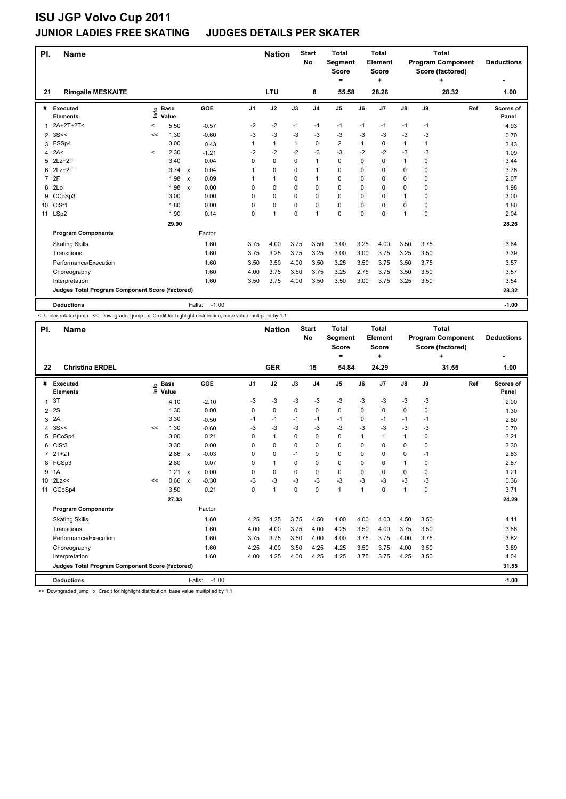### **JUNIOR LADIES FREE SKATING JUDGES DETAILS PER SKATER**

| PI.            | <b>Name</b>                                     |              |                            |                      |                | <b>Nation</b> |      | <b>Start</b><br>No | <b>Total</b><br>Segment<br><b>Score</b><br>= |          | <b>Total</b><br>Element<br><b>Score</b><br>÷ |               |             | <b>Total</b><br><b>Program Component</b><br>Score (factored)<br>÷ | <b>Deductions</b>  |
|----------------|-------------------------------------------------|--------------|----------------------------|----------------------|----------------|---------------|------|--------------------|----------------------------------------------|----------|----------------------------------------------|---------------|-------------|-------------------------------------------------------------------|--------------------|
| 21             | <b>Rimgaile MESKAITE</b>                        |              |                            |                      |                | LTU           |      | 8                  | 55.58                                        |          | 28.26                                        |               |             | 28.32                                                             | 1.00               |
| #              | Executed<br><b>Elements</b>                     |              | e Base<br>E Value<br>Value | GOE                  | J <sub>1</sub> | J2            | J3   | J <sub>4</sub>     | J <sub>5</sub>                               | J6       | J7                                           | $\mathsf{J}8$ | J9          | Ref                                                               | Scores of<br>Panel |
| 1              | 2A+2T+2T<                                       | $\,<\,$      | 5.50                       | $-0.57$              | $-2$           | -2            | $-1$ | $-1$               | $-1$                                         | $-1$     | $-1$                                         | $-1$          | $-1$        |                                                                   | 4.93               |
| $\overline{2}$ | 3S<<                                            | <<           | 1.30                       | $-0.60$              | $-3$           | -3            | $-3$ | $-3$               | $-3$                                         | $-3$     | $-3$                                         | $-3$          | -3          |                                                                   | 0.70               |
| 3              | FSSp4                                           |              | 3.00                       | 0.43                 | 1              | $\mathbf{1}$  | 1    | $\mathbf 0$        | $\overline{2}$                               | 1        | 0                                            | $\mathbf{1}$  | 1           |                                                                   | 3.43               |
| 4              | 2A<                                             | $\checkmark$ | 2.30                       | $-1.21$              | $-2$           | $-2$          | $-2$ | $-3$               | $-3$                                         | $-2$     | $-2$                                         | $-3$          | -3          |                                                                   | 1.09               |
| 5              | $2Lz+2T$                                        |              | 3.40                       | 0.04                 | 0              | 0             | 0    | 1                  | 0                                            | 0        | $\mathbf 0$                                  | 1             | $\mathbf 0$ |                                                                   | 3.44               |
| 6              | $2Lz+2T$                                        |              | $3.74 \times$              | 0.04                 | 1              | 0             | 0    | 1                  | 0                                            | $\Omega$ | $\Omega$                                     | 0             | $\Omega$    |                                                                   | 3.78               |
| $\overline{7}$ | 2F                                              |              | 1.98                       | 0.09<br>$\mathsf{x}$ |                | $\mathbf{1}$  | 0    | 1                  | 0                                            | 0        | 0                                            | 0             | 0           |                                                                   | 2.07               |
| 8              | 2Lo                                             |              | 1.98                       | 0.00<br>$\mathsf{x}$ | $\Omega$       | 0             | 0    | 0                  | 0                                            | $\Omega$ | 0                                            | 0             | 0           |                                                                   | 1.98               |
| 9              | CCoSp3                                          |              | 3.00                       | 0.00                 | 0              | 0             | 0    | $\mathbf 0$        | 0                                            | 0        | 0                                            | 1             | 0           |                                                                   | 3.00               |
| 10             | CiSt1                                           |              | 1.80                       | 0.00                 | $\Omega$       | 0             | 0    | $\mathbf 0$        | 0                                            | $\Omega$ | $\Omega$                                     | 0             | $\Omega$    |                                                                   | 1.80               |
| 11             | LSp2                                            |              | 1.90                       | 0.14                 | 0              | 1             | 0    | $\overline{1}$     | 0                                            | 0        | 0                                            | 1             | 0           |                                                                   | 2.04               |
|                |                                                 |              | 29.90                      |                      |                |               |      |                    |                                              |          |                                              |               |             |                                                                   | 28.26              |
|                | <b>Program Components</b>                       |              |                            | Factor               |                |               |      |                    |                                              |          |                                              |               |             |                                                                   |                    |
|                | <b>Skating Skills</b>                           |              |                            | 1.60                 | 3.75           | 4.00          | 3.75 | 3.50               | 3.00                                         | 3.25     | 4.00                                         | 3.50          | 3.75        |                                                                   | 3.64               |
|                | Transitions                                     |              |                            | 1.60                 | 3.75           | 3.25          | 3.75 | 3.25               | 3.00                                         | 3.00     | 3.75                                         | 3.25          | 3.50        |                                                                   | 3.39               |
|                | Performance/Execution                           |              |                            | 1.60                 | 3.50           | 3.50          | 4.00 | 3.50               | 3.25                                         | 3.50     | 3.75                                         | 3.50          | 3.75        |                                                                   | 3.57               |
|                | Choreography                                    |              |                            | 1.60                 | 4.00           | 3.75          | 3.50 | 3.75               | 3.25                                         | 2.75     | 3.75                                         | 3.50          | 3.50        |                                                                   | 3.57               |
|                | Interpretation                                  |              |                            | 1.60                 | 3.50           | 3.75          | 4.00 | 3.50               | 3.50                                         | 3.00     | 3.75                                         | 3.25          | 3.50        |                                                                   | 3.54               |
|                | Judges Total Program Component Score (factored) |              |                            |                      |                |               |      |                    |                                              |          |                                              |               |             |                                                                   | 28.32              |
|                | <b>Deductions</b>                               |              |                            | $-1.00$<br>Falls:    |                |               |      |                    |                                              |          |                                              |               |             |                                                                   | $-1.00$            |

-<br>< Under-rotated jump << Downgraded jump x Credit for highlight distribution, base value multiplied by 1.1

| PI.            | <b>Name</b>                                     |    |                            |              |                   |                | <b>Nation</b> |          | <b>Start</b><br>No | <b>Total</b><br>Segment<br><b>Score</b><br>۰ |                | Total<br>Element<br>Score<br>÷ |                |          | Total<br><b>Program Component</b><br>Score (factored)<br>٠ | <b>Deductions</b><br>٠ |
|----------------|-------------------------------------------------|----|----------------------------|--------------|-------------------|----------------|---------------|----------|--------------------|----------------------------------------------|----------------|--------------------------------|----------------|----------|------------------------------------------------------------|------------------------|
| 22             | <b>Christina ERDEL</b>                          |    |                            |              |                   |                | <b>GER</b>    |          | 15                 | 54.84                                        |                | 24.29                          |                |          | 31.55                                                      | 1.00                   |
|                | # Executed<br><b>Elements</b>                   |    | e Base<br>E Value<br>Value |              | GOE               | J <sub>1</sub> | J2            | J3       | J <sub>4</sub>     | $\mathsf{J}5$                                | J6             | J7                             | $\mathsf{J}8$  | J9       | Ref                                                        | Scores of<br>Panel     |
| 1              | 3T                                              |    | 4.10                       |              | $-2.10$           | $-3$           | $-3$          | $-3$     | $-3$               | $-3$                                         | $-3$           | $-3$                           | -3             | $-3$     |                                                            | 2.00                   |
| $\overline{2}$ | 2S                                              |    | 1.30                       |              | 0.00              | 0              | 0             | $\Omega$ | 0                  | 0                                            | $\Omega$       | $\mathbf 0$                    | 0              | $\Omega$ |                                                            | 1.30                   |
| 3              | 2A                                              |    | 3.30                       |              | $-0.50$           | $-1$           | $-1$          | $-1$     | $-1$               | $-1$                                         | 0              | $-1$                           | -1             | -1       |                                                            | 2.80                   |
| 4              | 3S<<                                            | << | 1.30                       |              | $-0.60$           | -3             | $-3$          | $-3$     | $-3$               | $-3$                                         | -3             | $-3$                           | $-3$           | $-3$     |                                                            | 0.70                   |
|                | 5 FCoSp4                                        |    | 3.00                       |              | 0.21              | 0              | 1             | $\Omega$ | $\Omega$           | 0                                            | 1              | $\overline{1}$                 | 1              | 0        |                                                            | 3.21                   |
| 6              | CiSt <sub>3</sub>                               |    | 3.30                       |              | 0.00              | 0              | $\Omega$      | 0        | $\Omega$           | 0                                            | $\Omega$       | $\Omega$                       | $\Omega$       | $\Omega$ |                                                            | 3.30                   |
| $\overline{7}$ | $2T+2T$                                         |    | 2.86                       | $\mathsf{x}$ | $-0.03$           | $\Omega$       | $\Omega$      | $-1$     | $\Omega$           | 0                                            | 0              | $\Omega$                       | 0              | $-1$     |                                                            | 2.83                   |
| 8              | FCSp3                                           |    | 2.80                       |              | 0.07              | $\Omega$       | 1             | $\Omega$ | $\Omega$           | 0                                            | 0              | $\Omega$                       | 1              | $\Omega$ |                                                            | 2.87                   |
| 9              | 1A                                              |    | $1.21 \times$              |              | 0.00              | $\Omega$       | $\Omega$      | $\Omega$ | $\Omega$           | 0                                            | 0              | $\Omega$                       | 0              | $\Omega$ |                                                            | 1.21                   |
|                | 10 2Lz<<                                        | << | 0.66                       | $\mathbf{x}$ | $-0.30$           | -3             | $-3$          | $-3$     | $-3$               | $-3$                                         | $-3$           | $-3$                           | $-3$           | $-3$     |                                                            | 0.36                   |
| 11             | CCoSp4                                          |    | 3.50                       |              | 0.21              | 0              | $\mathbf{1}$  | $\Omega$ | 0                  | $\mathbf{1}$                                 | $\overline{1}$ | 0                              | $\overline{1}$ | 0        |                                                            | 3.71                   |
|                |                                                 |    | 27.33                      |              |                   |                |               |          |                    |                                              |                |                                |                |          |                                                            | 24.29                  |
|                | <b>Program Components</b>                       |    |                            |              | Factor            |                |               |          |                    |                                              |                |                                |                |          |                                                            |                        |
|                | <b>Skating Skills</b>                           |    |                            |              | 1.60              | 4.25           | 4.25          | 3.75     | 4.50               | 4.00                                         | 4.00           | 4.00                           | 4.50           | 3.50     |                                                            | 4.11                   |
|                | Transitions                                     |    |                            |              | 1.60              | 4.00           | 4.00          | 3.75     | 4.00               | 4.25                                         | 3.50           | 4.00                           | 3.75           | 3.50     |                                                            | 3.86                   |
|                | Performance/Execution                           |    |                            |              | 1.60              | 3.75           | 3.75          | 3.50     | 4.00               | 4.00                                         | 3.75           | 3.75                           | 4.00           | 3.75     |                                                            | 3.82                   |
|                | Choreography                                    |    |                            |              | 1.60              | 4.25           | 4.00          | 3.50     | 4.25               | 4.25                                         | 3.50           | 3.75                           | 4.00           | 3.50     |                                                            | 3.89                   |
|                | Interpretation                                  |    |                            |              | 1.60              | 4.00           | 4.25          | 4.00     | 4.25               | 4.25                                         | 3.75           | 3.75                           | 4.25           | 3.50     |                                                            | 4.04                   |
|                | Judges Total Program Component Score (factored) |    |                            |              |                   |                |               |          |                    |                                              |                |                                |                |          |                                                            | 31.55                  |
|                | <b>Deductions</b>                               |    |                            |              | Falls:<br>$-1.00$ |                |               |          |                    |                                              |                |                                |                |          |                                                            | $-1.00$                |

<< Downgraded jump x Credit for highlight distribution, base value multiplied by 1.1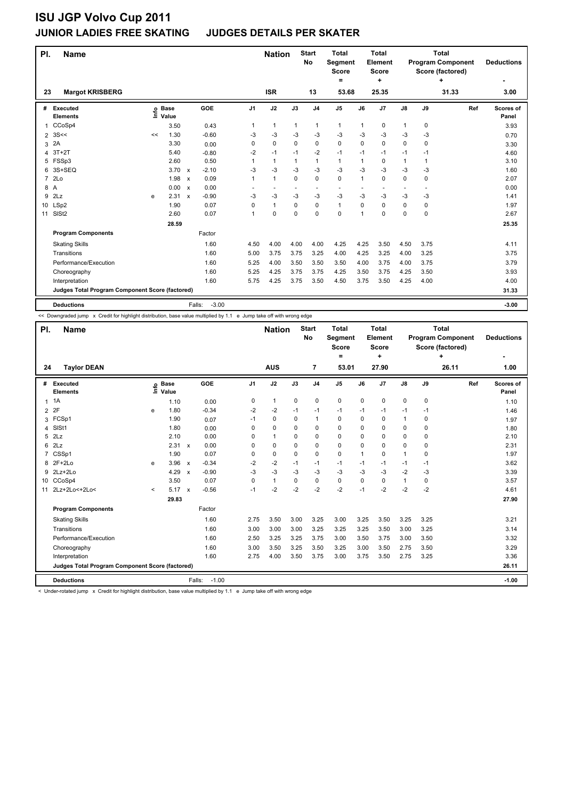### **ISU JGP Volvo Cup 2011 JUNIOR LADIES FREE SKATING JUDGES DETAILS PER SKATER**

| PI.            | <b>Name</b>                                     |    |                 |                                      |                          | <b>Nation</b> |                          | <b>Start</b><br>No       | <b>Total</b><br>Segment<br><b>Score</b><br>$=$ |                          | <b>Total</b><br>Element<br><b>Score</b><br>÷ |                |             | <b>Total</b><br><b>Program Component</b><br>Score (factored)<br>٠ | <b>Deductions</b>  |
|----------------|-------------------------------------------------|----|-----------------|--------------------------------------|--------------------------|---------------|--------------------------|--------------------------|------------------------------------------------|--------------------------|----------------------------------------------|----------------|-------------|-------------------------------------------------------------------|--------------------|
| 23             | <b>Margot KRISBERG</b>                          |    |                 |                                      |                          | <b>ISR</b>    |                          | 13                       | 53.68                                          |                          | 25.35                                        |                |             | 31.33                                                             | 3.00               |
| #              | <b>Executed</b><br><b>Elements</b>              | έ  | o Base<br>Value | GOE                                  | J1                       | J2            | J3                       | J <sub>4</sub>           | J <sub>5</sub>                                 | J6                       | J <sub>7</sub>                               | J8             | J9          | Ref                                                               | Scores of<br>Panel |
| 1              | CCoSp4                                          |    | 3.50            | 0.43                                 | 1                        | $\mathbf{1}$  | 1                        | $\mathbf{1}$             | 1                                              | $\mathbf{1}$             | 0                                            | $\mathbf{1}$   | 0           |                                                                   | 3.93               |
| 2              | 3S<<                                            | << | 1.30            | $-0.60$                              | -3                       | -3            | -3                       | $-3$                     | $-3$                                           | -3                       | -3                                           | -3             | -3          |                                                                   | 0.70               |
| 3              | 2A                                              |    | 3.30            | 0.00                                 | 0                        | 0             | 0                        | 0                        | 0                                              | 0                        | 0                                            | 0              | 0           |                                                                   | 3.30               |
| 4              | $3T+2T$                                         |    | 5.40            | $-0.80$                              | $-2$                     | $-1$          | $-1$                     | $-2$                     | $-1$                                           | $-1$                     | $-1$                                         | $-1$           | -1          |                                                                   | 4.60               |
| 5              | FSSp3                                           |    | 2.60            | 0.50                                 |                          | $\mathbf{1}$  |                          | 1                        | 1                                              | 1                        | 0                                            | 1              | 1           |                                                                   | 3.10               |
| 6              | 3S+SEQ                                          |    | $3.70 \times$   | $-2.10$                              | $-3$                     | $-3$          | $-3$                     | $-3$                     | $-3$                                           | $-3$                     | $-3$                                         | $-3$           | -3          |                                                                   | 1.60               |
| $\overline{7}$ | 2 <sub>LO</sub>                                 |    | 1.98            | 0.09<br>$\boldsymbol{\mathsf{x}}$    | $\mathbf{1}$             | $\mathbf{1}$  | 0                        | 0                        | 0                                              | 1                        | 0                                            | 0              | 0           |                                                                   | 2.07               |
| 8 A            |                                                 |    | 0.00 x          | 0.00                                 | $\overline{\phantom{a}}$ | $\sim$        | $\overline{\phantom{a}}$ | $\overline{\phantom{a}}$ | $\overline{\phantom{a}}$                       | $\overline{\phantom{a}}$ | ٠                                            | $\overline{a}$ | ٠           |                                                                   | 0.00               |
| 9              | 2Lz                                             | e  | 2.31            | $-0.90$<br>$\boldsymbol{\mathsf{x}}$ | $-3$                     | $-3$          | -3                       | $-3$                     | $-3$                                           | $-3$                     | $-3$                                         | $-3$           | -3          |                                                                   | 1.41               |
| 10             | LSp2                                            |    | 1.90            | 0.07                                 | $\Omega$                 | $\mathbf{1}$  | 0                        | 0                        | $\mathbf{1}$                                   | 0                        | $\Omega$                                     | 0              | 0           |                                                                   | 1.97               |
| 11             | SISt <sub>2</sub>                               |    | 2.60            | 0.07                                 | -1                       | $\mathbf 0$   | $\Omega$                 | 0                        | 0                                              | 1                        | $\mathbf 0$                                  | 0              | $\mathbf 0$ |                                                                   | 2.67               |
|                |                                                 |    | 28.59           |                                      |                          |               |                          |                          |                                                |                          |                                              |                |             |                                                                   | 25.35              |
|                | <b>Program Components</b>                       |    |                 | Factor                               |                          |               |                          |                          |                                                |                          |                                              |                |             |                                                                   |                    |
|                | <b>Skating Skills</b>                           |    |                 | 1.60                                 | 4.50                     | 4.00          | 4.00                     | 4.00                     | 4.25                                           | 4.25                     | 3.50                                         | 4.50           | 3.75        |                                                                   | 4.11               |
|                | Transitions                                     |    |                 | 1.60                                 | 5.00                     | 3.75          | 3.75                     | 3.25                     | 4.00                                           | 4.25                     | 3.25                                         | 4.00           | 3.25        |                                                                   | 3.75               |
|                | Performance/Execution                           |    |                 | 1.60                                 | 5.25                     | 4.00          | 3.50                     | 3.50                     | 3.50                                           | 4.00                     | 3.75                                         | 4.00           | 3.75        |                                                                   | 3.79               |
|                | Choreography                                    |    |                 | 1.60                                 | 5.25                     | 4.25          | 3.75                     | 3.75                     | 4.25                                           | 3.50                     | 3.75                                         | 4.25           | 3.50        |                                                                   | 3.93               |
|                | Interpretation                                  |    |                 | 1.60                                 | 5.75                     | 4.25          | 3.75                     | 3.50                     | 4.50                                           | 3.75                     | 3.50                                         | 4.25           | 4.00        |                                                                   | 4.00               |
|                | Judges Total Program Component Score (factored) |    |                 |                                      |                          |               |                          |                          |                                                |                          |                                              |                |             |                                                                   | 31.33              |
|                | <b>Deductions</b>                               |    |                 | $-3.00$<br>Falls:                    |                          |               |                          |                          |                                                |                          |                                              |                |             |                                                                   | $-3.00$            |

<< Downgraded jump x Credit for highlight distribution, base value multiplied by 1.1 e Jump take off with wrong edge

| PI. | <b>Name</b>                                     |         |                      |                           |                   |                | <b>Nation</b>  |             | <b>Start</b><br>No | Total<br>Segment<br><b>Score</b><br>٠ |              | Total<br>Element<br><b>Score</b><br>٠ |               |             | Total<br><b>Program Component</b><br>Score (factored)<br>٠ | <b>Deductions</b>  |
|-----|-------------------------------------------------|---------|----------------------|---------------------------|-------------------|----------------|----------------|-------------|--------------------|---------------------------------------|--------------|---------------------------------------|---------------|-------------|------------------------------------------------------------|--------------------|
| 24  | <b>Taylor DEAN</b>                              |         |                      |                           |                   |                | <b>AUS</b>     |             | 7                  | 53.01                                 |              | 27.90                                 |               |             | 26.11                                                      | 1.00               |
| #   | Executed<br><b>Elements</b>                     | lnfo    | <b>Base</b><br>Value |                           | <b>GOE</b>        | J <sub>1</sub> | J2             | J3          | J <sub>4</sub>     | J <sub>5</sub>                        | J6           | J7                                    | $\mathsf{J}8$ | J9          | Ref                                                        | Scores of<br>Panel |
|     | $1 \t1A$                                        |         | 1.10                 |                           | 0.00              | 0              | $\mathbf{1}$   | $\mathbf 0$ | $\mathbf 0$        | $\mathbf 0$                           | $\mathbf 0$  | 0                                     | $\mathbf 0$   | $\mathbf 0$ |                                                            | 1.10               |
|     | 2 2F                                            | e       | 1.80                 |                           | $-0.34$           | $-2$           | $-2$           | $-1$        | -1                 | $-1$                                  | $-1$         | $-1$                                  | $-1$          | $-1$        |                                                            | 1.46               |
| 3   | FCSp1                                           |         | 1.90                 |                           | 0.07              | $-1$           | $\mathbf 0$    | $\mathbf 0$ | $\mathbf{1}$       | $\mathbf 0$                           | 0            | 0                                     | 1             | 0           |                                                            | 1.97               |
| 4   | SISt1                                           |         | 1.80                 |                           | 0.00              | 0              | $\mathbf 0$    | $\Omega$    | $\mathbf 0$        | $\Omega$                              | $\Omega$     | $\Omega$                              | $\mathbf 0$   | 0           |                                                            | 1.80               |
|     | $5$ $2Lz$                                       |         | 2.10                 |                           | 0.00              | $\Omega$       | $\overline{1}$ | $\Omega$    | 0                  | 0                                     | $\Omega$     | $\Omega$                              | 0             | 0           |                                                            | 2.10               |
| 6   | 2Lz                                             |         | 2.31 x               |                           | 0.00              | 0              | 0              | $\Omega$    | $\Omega$           | $\Omega$                              | $\Omega$     | $\Omega$                              | $\mathbf 0$   | 0           |                                                            | 2.31               |
| 7   | CSSp1                                           |         | 1.90                 |                           | 0.07              | 0              | 0              | $\Omega$    | 0                  | 0                                     | $\mathbf{1}$ | $\Omega$                              | 1             | 0           |                                                            | 1.97               |
| 8   | 2F+2Lo                                          | e       | 3.96                 | $\boldsymbol{\mathsf{x}}$ | $-0.34$           | $-2$           | $-2$           | $-1$        | $-1$               | $-1$                                  | $-1$         | $-1$                                  | $-1$          | $-1$        |                                                            | 3.62               |
| 9   | $2Lz+2Lo$                                       |         | 4.29                 | $\boldsymbol{\mathsf{x}}$ | $-0.90$           | $-3$           | $-3$           | $-3$        | $-3$               | $-3$                                  | $-3$         | $-3$                                  | $-2$          | -3          |                                                            | 3.39               |
| 10  | CCoSp4                                          |         | 3.50                 |                           | 0.07              | $\mathbf 0$    | $\mathbf{1}$   | $\mathbf 0$ | $\mathbf 0$        | $\mathbf 0$                           | 0            | 0                                     | $\mathbf{1}$  | 0           |                                                            | 3.57               |
| 11  | 2Lz+2Lo<+2Lo<                                   | $\,<\,$ | 5.17                 | $\mathsf{x}$              | $-0.56$           | $-1$           | $-2$           | $-2$        | $-2$               | $-2$                                  | $-1$         | $-2$                                  | $-2$          | $-2$        |                                                            | 4.61               |
|     |                                                 |         | 29.83                |                           |                   |                |                |             |                    |                                       |              |                                       |               |             |                                                            | 27.90              |
|     | <b>Program Components</b>                       |         |                      |                           | Factor            |                |                |             |                    |                                       |              |                                       |               |             |                                                            |                    |
|     | <b>Skating Skills</b>                           |         |                      |                           | 1.60              | 2.75           | 3.50           | 3.00        | 3.25               | 3.00                                  | 3.25         | 3.50                                  | 3.25          | 3.25        |                                                            | 3.21               |
|     | Transitions                                     |         |                      |                           | 1.60              | 3.00           | 3.00           | 3.00        | 3.25               | 3.25                                  | 3.25         | 3.50                                  | 3.00          | 3.25        |                                                            | 3.14               |
|     | Performance/Execution                           |         |                      |                           | 1.60              | 2.50           | 3.25           | 3.25        | 3.75               | 3.00                                  | 3.50         | 3.75                                  | 3.00          | 3.50        |                                                            | 3.32               |
|     | Choreography                                    |         |                      |                           | 1.60              | 3.00           | 3.50           | 3.25        | 3.50               | 3.25                                  | 3.00         | 3.50                                  | 2.75          | 3.50        |                                                            | 3.29               |
|     | Interpretation                                  |         |                      |                           | 1.60              | 2.75           | 4.00           | 3.50        | 3.75               | 3.00                                  | 3.75         | 3.50                                  | 2.75          | 3.25        |                                                            | 3.36               |
|     | Judges Total Program Component Score (factored) |         |                      |                           |                   |                |                |             |                    |                                       |              |                                       |               |             |                                                            | 26.11              |
|     | <b>Deductions</b>                               |         |                      |                           | $-1.00$<br>Falls: |                |                |             |                    |                                       |              |                                       |               |             |                                                            | $-1.00$            |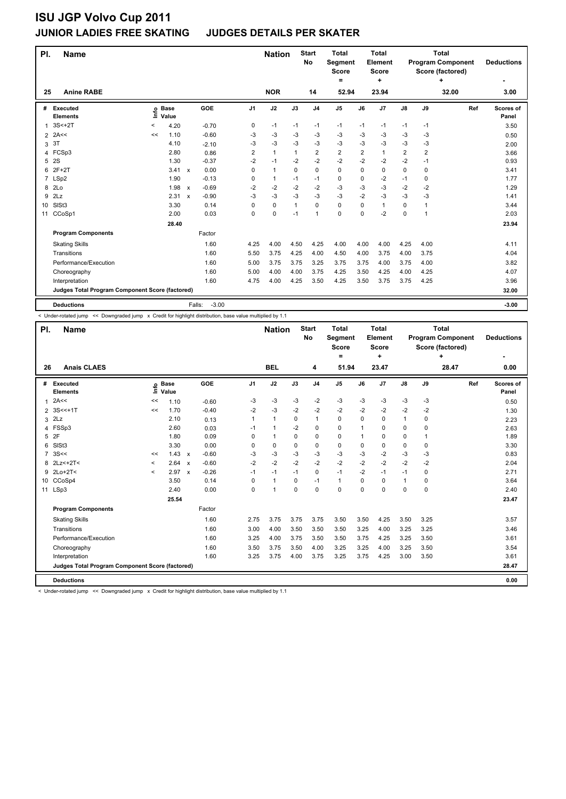### **JUNIOR LADIES FREE SKATING JUDGES DETAILS PER SKATER**

| PI.            | <b>Name</b>                                     |         |                            |                           |         |                | <b>Nation</b> |              | <b>Start</b><br><b>No</b> | <b>Total</b><br>Segment<br><b>Score</b><br>$=$ |                | <b>Total</b><br>Element<br><b>Score</b><br>٠ |               |                | <b>Total</b><br><b>Program Component</b><br>Score (factored)<br>٠ | <b>Deductions</b>  |
|----------------|-------------------------------------------------|---------|----------------------------|---------------------------|---------|----------------|---------------|--------------|---------------------------|------------------------------------------------|----------------|----------------------------------------------|---------------|----------------|-------------------------------------------------------------------|--------------------|
| 25             | <b>Anine RABE</b>                               |         |                            |                           |         |                | <b>NOR</b>    |              | 14                        | 52.94                                          |                | 23.94                                        |               |                | 32.00                                                             | 3.00               |
| #              | <b>Executed</b><br><b>Elements</b>              |         | e Base<br>E Value<br>Value |                           | GOE     | J <sub>1</sub> | J2            | J3           | J <sub>4</sub>            | J5                                             | J6             | J7                                           | $\mathsf{J}8$ | J9             | Ref                                                               | Scores of<br>Panel |
| 1              | $3S<+2T$                                        | $\,<\,$ | 4.20                       |                           | $-0.70$ | 0              | $-1$          | $-1$         | $-1$                      | $-1$                                           | $-1$           | $-1$                                         | $-1$          | $-1$           |                                                                   | 3.50               |
| $\overline{2}$ | 2A<<                                            | <<      | 1.10                       |                           | $-0.60$ | -3             | -3            | -3           | -3                        | -3                                             | -3             | -3                                           | -3            | -3             |                                                                   | 0.50               |
| 3              | 3T                                              |         | 4.10                       |                           | $-2.10$ | $-3$           | -3            | $-3$         | $-3$                      | $-3$                                           | $-3$           | $-3$                                         | $-3$          | $-3$           |                                                                   | 2.00               |
| 4              | FCSp3                                           |         | 2.80                       |                           | 0.86    | 2              | $\mathbf{1}$  | 1            | $\overline{2}$            | $\overline{\mathbf{c}}$                        | $\overline{2}$ | $\mathbf{1}$                                 | 2             | $\overline{2}$ |                                                                   | 3.66               |
| 5              | 2S                                              |         | 1.30                       |                           | $-0.37$ | $-2$           | $-1$          | $-2$         | $-2$                      | $-2$                                           | $-2$           | $-2$                                         | $-2$          | $-1$           |                                                                   | 0.93               |
| 6              | $2F+2T$                                         |         | $3.41 \times$              |                           | 0.00    | $\Omega$       | $\mathbf{1}$  | 0            | 0                         | 0                                              | $\Omega$       | $\Omega$                                     | 0             | $\Omega$       |                                                                   | 3.41               |
| $\overline{7}$ | LSp2                                            |         | 1.90                       |                           | $-0.13$ | 0              | $\mathbf{1}$  | $-1$         | $-1$                      | 0                                              | 0              | $-2$                                         | $-1$          | 0              |                                                                   | 1.77               |
| 8              | 2Lo                                             |         | 1.98                       | $\mathsf{x}$              | $-0.69$ | $-2$           | $-2$          | $-2$         | $-2$                      | $-3$                                           | $-3$           | $-3$                                         | $-2$          | -2             |                                                                   | 1.29               |
| 9              | 2Lz                                             |         | 2.31                       | $\boldsymbol{\mathsf{x}}$ | $-0.90$ | -3             | -3            | -3           | $-3$                      | $-3$                                           | $-2$           | $-3$                                         | $-3$          | $-3$           |                                                                   | 1.41               |
| 10             | SISt <sub>3</sub>                               |         | 3.30                       |                           | 0.14    | $\Omega$       | 0             | $\mathbf{1}$ | 0                         | 0                                              | $\Omega$       | $\mathbf{1}$                                 | 0             | 1              |                                                                   | 3.44               |
| 11             | CCoSp1                                          |         | 2.00                       |                           | 0.03    | 0              | 0             | $-1$         | $\overline{1}$            | 0                                              | 0              | $-2$                                         | 0             | 1              |                                                                   | 2.03               |
|                |                                                 |         | 28.40                      |                           |         |                |               |              |                           |                                                |                |                                              |               |                |                                                                   | 23.94              |
|                | <b>Program Components</b>                       |         |                            |                           | Factor  |                |               |              |                           |                                                |                |                                              |               |                |                                                                   |                    |
|                | <b>Skating Skills</b>                           |         |                            |                           | 1.60    | 4.25           | 4.00          | 4.50         | 4.25                      | 4.00                                           | 4.00           | 4.00                                         | 4.25          | 4.00           |                                                                   | 4.11               |
|                | Transitions                                     |         |                            |                           | 1.60    | 5.50           | 3.75          | 4.25         | 4.00                      | 4.50                                           | 4.00           | 3.75                                         | 4.00          | 3.75           |                                                                   | 4.04               |
|                | Performance/Execution                           |         |                            |                           | 1.60    | 5.00           | 3.75          | 3.75         | 3.25                      | 3.75                                           | 3.75           | 4.00                                         | 3.75          | 4.00           |                                                                   | 3.82               |
|                | Choreography                                    |         |                            |                           | 1.60    | 5.00           | 4.00          | 4.00         | 3.75                      | 4.25                                           | 3.50           | 4.25                                         | 4.00          | 4.25           |                                                                   | 4.07               |
|                | Interpretation                                  |         |                            |                           | 1.60    | 4.75           | 4.00          | 4.25         | 3.50                      | 4.25                                           | 3.50           | 3.75                                         | 3.75          | 4.25           |                                                                   | 3.96               |
|                | Judges Total Program Component Score (factored) |         |                            |                           |         |                |               |              |                           |                                                |                |                                              |               |                |                                                                   | 32.00              |
|                | <b>Deductions</b>                               |         |                            | Falls:                    | $-3.00$ |                |               |              |                           |                                                |                |                                              |               |                |                                                                   | $-3.00$            |

< Under-rotated jump << Downgraded jump x Credit for highlight distribution, base value multiplied by 1.1

| PI.            | <b>Name</b>                                     |         | <b>Start</b><br><b>Nation</b><br>No |                                      | <b>Total</b><br>Segment<br><b>Score</b> |              | Total<br>Element<br><b>Score</b> |                |                | <b>Total</b><br><b>Program Component</b><br>Score (factored) | <b>Deductions</b> |               |          |       |                    |
|----------------|-------------------------------------------------|---------|-------------------------------------|--------------------------------------|-----------------------------------------|--------------|----------------------------------|----------------|----------------|--------------------------------------------------------------|-------------------|---------------|----------|-------|--------------------|
|                |                                                 |         |                                     |                                      |                                         |              |                                  |                | $\equiv$       |                                                              | ÷                 |               |          | ÷     | ٠                  |
| 26             | <b>Anais CLAES</b>                              |         |                                     |                                      |                                         | <b>BEL</b>   |                                  | 4              | 51.94          |                                                              | 23.47             |               |          | 28.47 | 0.00               |
| #              | <b>Executed</b><br><b>Elements</b>              | ١nf٥    | <b>Base</b><br>Value                | <b>GOE</b>                           | J1                                      | J2           | J3                               | J <sub>4</sub> | J <sub>5</sub> | J6                                                           | J7                | $\mathsf{J}8$ | J9       | Ref   | Scores of<br>Panel |
| 1              | 2A<<                                            | <<      | 1.10                                | $-0.60$                              | -3                                      | $-3$         | $-3$                             | $-2$           | $-3$           | $-3$                                                         | $-3$              | $-3$          | $-3$     |       | 0.50               |
| 2              | $3S < +1T$                                      | <<      | 1.70                                | $-0.40$                              | $-2$                                    | -3           | $-2$                             | $-2$           | $-2$           | $-2$                                                         | $-2$              | $-2$          | $-2$     |       | 1.30               |
| 3              | 2Lz                                             |         | 2.10                                | 0.13                                 | 1                                       | $\mathbf{1}$ | 0                                | $\mathbf{1}$   | 0              | 0                                                            | 0                 | 1             | 0        |       | 2.23               |
| 4              | FSSp3                                           |         | 2.60                                | 0.03                                 | $-1$                                    | $\mathbf{1}$ | $-2$                             | $\mathbf 0$    | 0              | 1                                                            | 0                 | 0             | 0        |       | 2.63               |
| 5              | 2F                                              |         | 1.80                                | 0.09                                 | 0                                       | $\mathbf{1}$ | 0                                | $\mathbf 0$    | 0              | 1                                                            | 0                 | 0             | 1        |       | 1.89               |
| 6              | SISt <sub>3</sub>                               |         | 3.30                                | 0.00                                 | 0                                       | 0            | $\Omega$                         | $\mathbf 0$    | 0              | $\mathbf 0$                                                  | 0                 | 0             | 0        |       | 3.30               |
| $\overline{7}$ | 3S<<                                            | <<      | 1.43                                | $-0.60$<br>$\boldsymbol{\mathsf{x}}$ | $-3$                                    | -3           | $-3$                             | $-3$           | $-3$           | $-3$                                                         | $-2$              | $-3$          | -3       |       | 0.83               |
| 8              | $2Lz<+2T<$                                      | $\prec$ | 2.64                                | $-0.60$<br>$\boldsymbol{\mathsf{x}}$ | $-2$                                    | $-2$         | $-2$                             | $-2$           | $-2$           | $-2$                                                         | $-2$              | $-2$          | $-2$     |       | 2.04               |
| 9              | $2Lo+2T<$                                       | $\prec$ | 2.97                                | $-0.26$<br>$\boldsymbol{\mathsf{x}}$ | $-1$                                    | $-1$         | $-1$                             | $\Omega$       | $-1$           | $-2$                                                         | $-1$              | $-1$          | $\Omega$ |       | 2.71               |
| 10             | CCoSp4                                          |         | 3.50                                | 0.14                                 | $\Omega$                                | $\mathbf{1}$ | 0                                | $-1$           | $\mathbf{1}$   | 0                                                            | $\Omega$          | $\mathbf{1}$  | $\Omega$ |       | 3.64               |
| 11             | LSp3                                            |         | 2.40                                | 0.00                                 | 0                                       | $\mathbf{1}$ | $\mathbf 0$                      | $\mathbf 0$    | 0              | 0                                                            | 0                 | 0             | 0        |       | 2.40               |
|                |                                                 |         | 25.54                               |                                      |                                         |              |                                  |                |                |                                                              |                   |               |          |       | 23.47              |
|                | <b>Program Components</b>                       |         |                                     | Factor                               |                                         |              |                                  |                |                |                                                              |                   |               |          |       |                    |
|                | <b>Skating Skills</b>                           |         |                                     | 1.60                                 | 2.75                                    | 3.75         | 3.75                             | 3.75           | 3.50           | 3.50                                                         | 4.25              | 3.50          | 3.25     |       | 3.57               |
|                | Transitions                                     |         |                                     | 1.60                                 | 3.00                                    | 4.00         | 3.50                             | 3.50           | 3.50           | 3.25                                                         | 4.00              | 3.25          | 3.25     |       | 3.46               |
|                | Performance/Execution                           |         |                                     | 1.60                                 | 3.25                                    | 4.00         | 3.75                             | 3.50           | 3.50           | 3.75                                                         | 4.25              | 3.25          | 3.50     |       | 3.61               |
|                | Choreography                                    |         |                                     | 1.60                                 | 3.50                                    | 3.75         | 3.50                             | 4.00           | 3.25           | 3.25                                                         | 4.00              | 3.25          | 3.50     |       | 3.54               |
|                | Interpretation                                  |         |                                     | 1.60                                 | 3.25                                    | 3.75         | 4.00                             | 3.75           | 3.25           | 3.75                                                         | 4.25              | 3.00          | 3.50     |       | 3.61               |
|                | Judges Total Program Component Score (factored) |         |                                     |                                      |                                         |              |                                  |                |                |                                                              |                   |               |          |       | 28.47              |
|                | <b>Deductions</b>                               |         |                                     |                                      |                                         |              |                                  |                |                |                                                              |                   |               |          |       | 0.00               |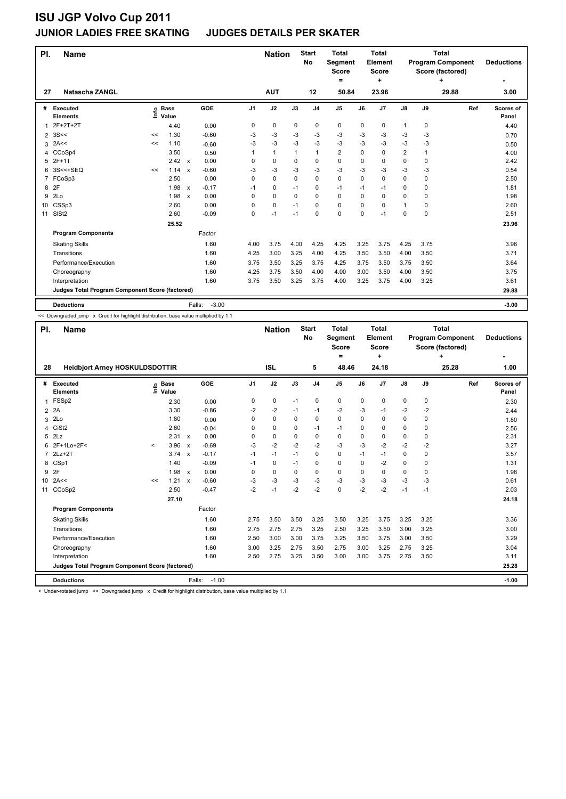### **JUNIOR LADIES FREE SKATING JUDGES DETAILS PER SKATER**

| PI.            | <b>Name</b>                                     |    |                 |                         |                | <b>Nation</b> |          | <b>Start</b><br>No | <b>Total</b><br><b>Segment</b><br><b>Score</b><br>$\equiv$ |          | <b>Total</b><br>Element<br><b>Score</b><br>÷ |               | <b>Total</b><br><b>Program Component</b><br>Score (factored) | <b>Deductions</b> |                           |
|----------------|-------------------------------------------------|----|-----------------|-------------------------|----------------|---------------|----------|--------------------|------------------------------------------------------------|----------|----------------------------------------------|---------------|--------------------------------------------------------------|-------------------|---------------------------|
| 27             | Natascha ZANGL                                  |    |                 |                         |                | <b>AUT</b>    |          | 12                 | 50.84                                                      |          | 23.96                                        |               |                                                              | ٠<br>29.88        | 3.00                      |
| #              | <b>Executed</b><br><b>Elements</b>              | Ξ. | o Base<br>Value | GOE                     | J <sub>1</sub> | J2            | J3       | J <sub>4</sub>     | J <sub>5</sub>                                             | J6       | J7                                           | $\mathsf{J}8$ | J9                                                           | Ref               | <b>Scores of</b><br>Panel |
| 1              | 2F+2T+2T                                        |    | 4.40            | 0.00                    | 0              | 0             | 0        | 0                  | 0                                                          | 0        | 0                                            | $\mathbf{1}$  | 0                                                            |                   | 4.40                      |
| $\overline{2}$ | 3S<<                                            | << | 1.30            | $-0.60$                 | -3             | -3            | -3       | -3                 | $-3$                                                       | -3       | -3                                           | -3            | -3                                                           |                   | 0.70                      |
| 3              | 2A<<                                            | << | 1.10            | $-0.60$                 | $-3$           | $-3$          | $-3$     | $-3$               | $-3$                                                       | $-3$     | $-3$                                         | $-3$          | -3                                                           |                   | 0.50                      |
| 4              | CCoSp4                                          |    | 3.50            | 0.50                    | 1              | $\mathbf{1}$  | 1        | $\mathbf{1}$       | 2                                                          | 0        | 0                                            | 2             | 1                                                            |                   | 4.00                      |
| 5              | $2F+1T$                                         |    | 2.42            | 0.00<br>$\mathsf{x}$    | 0              | 0             | 0        | $\mathbf 0$        | 0                                                          | 0        | 0                                            | 0             | 0                                                            |                   | 2.42                      |
| 6              | 3S<<+SEQ                                        | << | 1.14            | $-0.60$<br>$\mathbf x$  | -3             | -3            | $-3$     | $-3$               | $-3$                                                       | $-3$     | $-3$                                         | $-3$          | $-3$                                                         |                   | 0.54                      |
| $\overline{7}$ | FCoSp3                                          |    | 2.50            | 0.00                    | 0              | 0             | 0        | $\mathbf 0$        | 0                                                          | $\Omega$ | 0                                            | 0             | 0                                                            |                   | 2.50                      |
| 8              | 2F                                              |    | 1.98            | $-0.17$<br>$\mathsf{x}$ | $-1$           | 0             | $-1$     | $\mathbf 0$        | $-1$                                                       | $-1$     | $-1$                                         | 0             | $\Omega$                                                     |                   | 1.81                      |
| 9              | 2Lo                                             |    | 1.98            | 0.00<br>$\mathsf{x}$    | $\Omega$       | 0             | $\Omega$ | $\Omega$           | 0                                                          | $\Omega$ | 0                                            | 0             | $\Omega$                                                     |                   | 1.98                      |
| 10             | CSSp3                                           |    | 2.60            | 0.00                    | $\Omega$       | 0             | $-1$     | $\Omega$           | 0                                                          | 0        | $\Omega$                                     | 1             | $\Omega$                                                     |                   | 2.60                      |
| 11             | SIS <sub>t2</sub>                               |    | 2.60            | $-0.09$                 | 0              | $-1$          | $-1$     | $\mathbf 0$        | 0                                                          | 0        | $-1$                                         | 0             | 0                                                            |                   | 2.51                      |
|                |                                                 |    | 25.52           |                         |                |               |          |                    |                                                            |          |                                              |               |                                                              |                   | 23.96                     |
|                | <b>Program Components</b>                       |    |                 | Factor                  |                |               |          |                    |                                                            |          |                                              |               |                                                              |                   |                           |
|                | <b>Skating Skills</b>                           |    |                 | 1.60                    | 4.00           | 3.75          | 4.00     | 4.25               | 4.25                                                       | 3.25     | 3.75                                         | 4.25          | 3.75                                                         |                   | 3.96                      |
|                | Transitions                                     |    |                 | 1.60                    | 4.25           | 3.00          | 3.25     | 4.00               | 4.25                                                       | 3.50     | 3.50                                         | 4.00          | 3.50                                                         |                   | 3.71                      |
|                | Performance/Execution                           |    |                 | 1.60                    | 3.75           | 3.50          | 3.25     | 3.75               | 4.25                                                       | 3.75     | 3.50                                         | 3.75          | 3.50                                                         |                   | 3.64                      |
|                | Choreography                                    |    |                 | 1.60                    | 4.25           | 3.75          | 3.50     | 4.00               | 4.00                                                       | 3.00     | 3.50                                         | 4.00          | 3.50                                                         |                   | 3.75                      |
|                | Interpretation                                  |    |                 | 1.60                    | 3.75           | 3.50          | 3.25     | 3.75               | 4.00                                                       | 3.25     | 3.75                                         | 4.00          | 3.25                                                         |                   | 3.61                      |
|                | Judges Total Program Component Score (factored) |    |                 |                         |                |               |          |                    |                                                            |          |                                              |               |                                                              |                   | 29.88                     |
|                | <b>Deductions</b>                               |    |                 | $-3.00$<br>Falls:       |                |               |          |                    |                                                            |          |                                              |               |                                                              |                   | $-3.00$                   |

<< Downgraded jump x Credit for highlight distribution, base value multiplied by 1.1

| PI.             | <b>Name</b>                                     |         |                            | <b>Start</b><br><b>Nation</b><br>No |                   | <b>Total</b><br><b>Segment</b><br><b>Score</b><br>Ξ. |          | <b>Total</b><br>Element<br><b>Score</b><br>÷ |                |                | <b>Total</b><br><b>Program Component</b><br>Score (factored)<br>÷ | <b>Deductions</b> |               |          |     |                           |
|-----------------|-------------------------------------------------|---------|----------------------------|-------------------------------------|-------------------|------------------------------------------------------|----------|----------------------------------------------|----------------|----------------|-------------------------------------------------------------------|-------------------|---------------|----------|-----|---------------------------|
| 28              | <b>Heidbjort Arney HOSKULDSDOTTIR</b>           |         | <b>ISL</b>                 |                                     | 5                 | 48.46                                                |          | 24.18                                        |                |                | 25.28                                                             | 1.00              |               |          |     |                           |
|                 | # Executed<br><b>Elements</b>                   |         | e Base<br>E Value<br>Value |                                     | GOE               | J <sub>1</sub>                                       | J2       | J3                                           | J <sub>4</sub> | J <sub>5</sub> | J6                                                                | J7                | $\mathsf{J}8$ | J9       | Ref | <b>Scores of</b><br>Panel |
| $\mathbf{1}$    | FSSp2                                           |         | 2.30                       |                                     | 0.00              | 0                                                    | 0        | $-1$                                         | $\mathbf 0$    | 0              | 0                                                                 | 0                 | 0             | 0        |     | 2.30                      |
| $\overline{2}$  | 2A                                              |         | 3.30                       |                                     | $-0.86$           | $-2$                                                 | $-2$     | $-1$                                         | $-1$           | $-2$           | -3                                                                | $-1$              | $-2$          | $-2$     |     | 2.44                      |
| 3               | 2Lo                                             |         | 1.80                       |                                     | 0.00              | $\Omega$                                             | $\Omega$ | $\Omega$                                     | 0              | $\Omega$       | 0                                                                 | 0                 | 0             | 0        |     | 1.80                      |
| 4               | CiSt <sub>2</sub>                               |         | 2.60                       |                                     | $-0.04$           | 0                                                    | 0        | 0                                            | $-1$           | $-1$           | 0                                                                 | 0                 | 0             | 0        |     | 2.56                      |
|                 | $5$ $2Lz$                                       |         | $2.31 \times$              |                                     | 0.00              | $\Omega$                                             | 0        | $\Omega$                                     | 0              | 0              | $\Omega$                                                          | 0                 | 0             | $\Omega$ |     | 2.31                      |
| 6               | 2F+1Lo+2F<                                      | $\prec$ | 3.96                       | $\mathbf{x}$                        | $-0.69$           | -3                                                   | $-2$     | $-2$                                         | $-2$           | $-3$           | $-3$                                                              | $-2$              | $-2$          | $-2$     |     | 3.27                      |
|                 | 7 2Lz+2T                                        |         | $3.74 \times$              |                                     | $-0.17$           | $-1$                                                 | $-1$     | $-1$                                         | $\Omega$       | 0              | $-1$                                                              | $-1$              | $\Omega$      | 0        |     | 3.57                      |
| 8               | CSp1                                            |         | 1.40                       |                                     | $-0.09$           | $-1$                                                 | 0        | $-1$                                         | 0              | 0              | 0                                                                 | $-2$              | 0             | 0        |     | 1.31                      |
| 9               | 2F                                              |         | 1.98 x                     |                                     | 0.00              | 0                                                    | 0        | $\Omega$                                     | 0              | 0              | $\Omega$                                                          | $\Omega$          | $\Omega$      | $\Omega$ |     | 1.98                      |
| 10 <sup>1</sup> | 2A<<                                            | <<      | $1.21 \times$              |                                     | $-0.60$           | -3                                                   | $-3$     | $-3$                                         | $-3$           | $-3$           | $-3$                                                              | $-3$              | $-3$          | $-3$     |     | 0.61                      |
|                 | 11 CCoSp2                                       |         | 2.50                       |                                     | $-0.47$           | $-2$                                                 | $-1$     | $-2$                                         | $-2$           | $\Omega$       | $-2$                                                              | $-2$              | $-1$          | $-1$     |     | 2.03                      |
|                 |                                                 |         | 27.10                      |                                     |                   |                                                      |          |                                              |                |                |                                                                   |                   |               |          |     | 24.18                     |
|                 | <b>Program Components</b>                       |         |                            |                                     | Factor            |                                                      |          |                                              |                |                |                                                                   |                   |               |          |     |                           |
|                 | <b>Skating Skills</b>                           |         |                            |                                     | 1.60              | 2.75                                                 | 3.50     | 3.50                                         | 3.25           | 3.50           | 3.25                                                              | 3.75              | 3.25          | 3.25     |     | 3.36                      |
|                 | Transitions                                     |         |                            |                                     | 1.60              | 2.75                                                 | 2.75     | 2.75                                         | 3.25           | 2.50           | 3.25                                                              | 3.50              | 3.00          | 3.25     |     | 3.00                      |
|                 | Performance/Execution                           |         |                            |                                     | 1.60              | 2.50                                                 | 3.00     | 3.00                                         | 3.75           | 3.25           | 3.50                                                              | 3.75              | 3.00          | 3.50     |     | 3.29                      |
|                 | Choreography                                    |         |                            |                                     | 1.60              | 3.00                                                 | 3.25     | 2.75                                         | 3.50           | 2.75           | 3.00                                                              | 3.25              | 2.75          | 3.25     |     | 3.04                      |
|                 | Interpretation                                  |         |                            |                                     | 1.60              | 2.50                                                 | 2.75     | 3.25                                         | 3.50           | 3.00           | 3.00                                                              | 3.75              | 2.75          | 3.50     |     | 3.11                      |
|                 | Judges Total Program Component Score (factored) |         |                            |                                     |                   |                                                      |          |                                              |                |                |                                                                   |                   |               |          |     | 25.28                     |
|                 | <b>Deductions</b>                               |         |                            |                                     | $-1.00$<br>Falls: |                                                      |          |                                              |                |                |                                                                   |                   |               |          |     | $-1.00$                   |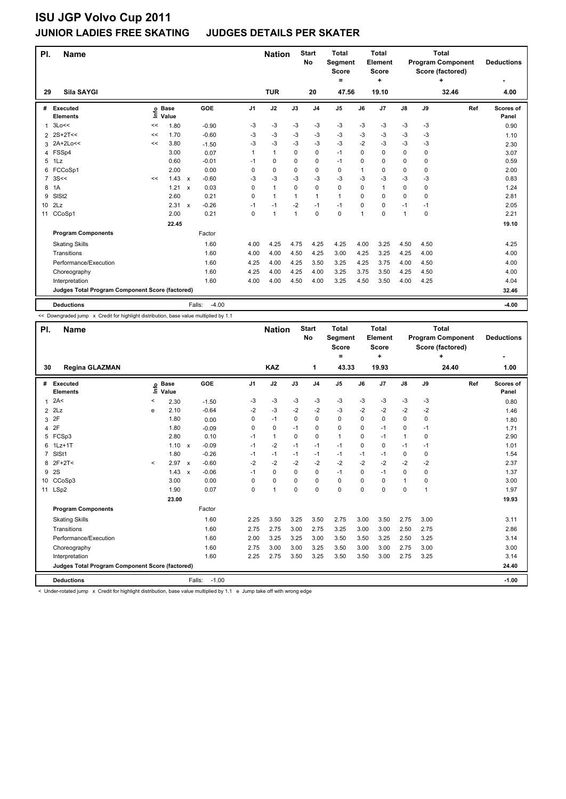### **JUNIOR LADIES FREE SKATING JUDGES DETAILS PER SKATER**

| PI.             | <b>Name</b>                                     |    |                 |                         |                | <b>Nation</b> |              | <b>Start</b><br>No | <b>Total</b><br>Segment<br><b>Score</b><br>$=$ |          | <b>Total</b><br>Element<br><b>Score</b><br>٠ |               |             | <b>Total</b><br><b>Program Component</b><br>Score (factored)<br>٠ | <b>Deductions</b>  |
|-----------------|-------------------------------------------------|----|-----------------|-------------------------|----------------|---------------|--------------|--------------------|------------------------------------------------|----------|----------------------------------------------|---------------|-------------|-------------------------------------------------------------------|--------------------|
| 29              | Sila SAYGI                                      |    |                 |                         |                | <b>TUR</b>    |              | 20                 | 47.56                                          |          | 19.10                                        |               |             | 32.46                                                             | 4.00               |
| #               | Executed<br><b>Elements</b>                     | Ě  | o Base<br>Value | GOE                     | J <sub>1</sub> | J2            | J3           | J <sub>4</sub>     | J5                                             | J6       | J7                                           | $\mathsf{J}8$ | J9          | Ref                                                               | Scores of<br>Panel |
| 1               | 3Lo<<                                           | << | 1.80            | $-0.90$                 | -3             | -3            | -3           | $-3$               | $-3$                                           | -3       | -3                                           | $-3$          | -3          |                                                                   | 0.90               |
|                 | 2 2S+2T<<                                       | << | 1.70            | $-0.60$                 | -3             | -3            | -3           | -3                 | $-3$                                           | -3       | $-3$                                         | -3            | -3          |                                                                   | 1.10               |
| 3               | 2A+2Lo<<                                        | << | 3.80            | $-1.50$                 | $-3$           | -3            | $-3$         | $-3$               | $-3$                                           | $-2$     | $-3$                                         | $-3$          | -3          |                                                                   | 2.30               |
| 4               | FSSp4                                           |    | 3.00            | 0.07                    | 1              | $\mathbf{1}$  | $\Omega$     | $\mathbf 0$        | $-1$                                           | $\Omega$ | $\mathbf 0$                                  | 0             | $\mathbf 0$ |                                                                   | 3.07               |
| 5               | 1Lz                                             |    | 0.60            | $-0.01$                 | $-1$           | 0             | $\Omega$     | $\mathbf 0$        | $-1$                                           | $\Omega$ | $\Omega$                                     | 0             | $\Omega$    |                                                                   | 0.59               |
| 6               | FCCoSp1                                         |    | 2.00            | 0.00                    | 0              | 0             | 0            | 0                  | 0                                              | 1        | 0                                            | 0             | $\Omega$    |                                                                   | 2.00               |
| 7               | 3S<<                                            | << | 1.43            | $-0.60$<br>$\mathsf{x}$ | $-3$           | -3            | $-3$         | -3                 | $-3$                                           | $-3$     | $-3$                                         | $-3$          | $-3$        |                                                                   | 0.83               |
| 8               | 1A                                              |    | 1.21            | 0.03<br>$\mathsf{x}$    | $\mathbf 0$    | $\mathbf{1}$  | $\Omega$     | $\mathbf 0$        | 0                                              | $\Omega$ | $\overline{1}$                               | 0             | 0           |                                                                   | 1.24               |
| 9               | SISt <sub>2</sub>                               |    | 2.60            | 0.21                    | 0              | $\mathbf{1}$  | 1            | 1                  | $\mathbf{1}$                                   | 0        | 0                                            | 0             | $\Omega$    |                                                                   | 2.81               |
| 10 <sup>°</sup> | 2Lz                                             |    | 2.31            | $-0.26$<br>$\mathsf{x}$ | $-1$           | $-1$          | $-2$         | $-1$               | $-1$                                           | 0        | $\Omega$                                     | $-1$          | -1          |                                                                   | 2.05               |
| 11              | CCoSp1                                          |    | 2.00            | 0.21                    | 0              | $\mathbf{1}$  | $\mathbf{1}$ | $\mathbf 0$        | 0                                              | 1        | 0                                            | 1             | 0           |                                                                   | 2.21               |
|                 |                                                 |    | 22.45           |                         |                |               |              |                    |                                                |          |                                              |               |             |                                                                   | 19.10              |
|                 | <b>Program Components</b>                       |    |                 | Factor                  |                |               |              |                    |                                                |          |                                              |               |             |                                                                   |                    |
|                 | <b>Skating Skills</b>                           |    |                 | 1.60                    | 4.00           | 4.25          | 4.75         | 4.25               | 4.25                                           | 4.00     | 3.25                                         | 4.50          | 4.50        |                                                                   | 4.25               |
|                 | Transitions                                     |    |                 | 1.60                    | 4.00           | 4.00          | 4.50         | 4.25               | 3.00                                           | 4.25     | 3.25                                         | 4.25          | 4.00        |                                                                   | 4.00               |
|                 | Performance/Execution                           |    |                 | 1.60                    | 4.25           | 4.00          | 4.25         | 3.50               | 3.25                                           | 4.25     | 3.75                                         | 4.00          | 4.50        |                                                                   | 4.00               |
|                 | Choreography                                    |    |                 | 1.60                    | 4.25           | 4.00          | 4.25         | 4.00               | 3.25                                           | 3.75     | 3.50                                         | 4.25          | 4.50        |                                                                   | 4.00               |
|                 | Interpretation                                  |    |                 | 1.60                    | 4.00           | 4.00          | 4.50         | 4.00               | 3.25                                           | 4.50     | 3.50                                         | 4.00          | 4.25        |                                                                   | 4.04               |
|                 | Judges Total Program Component Score (factored) |    |                 |                         |                |               |              |                    |                                                |          |                                              |               |             |                                                                   | 32.46              |
|                 | <b>Deductions</b>                               |    |                 | $-4.00$<br>Falls:       |                |               |              |                    |                                                |          |                                              |               |             |                                                                   | $-4.00$            |

<< Downgraded jump x Credit for highlight distribution, base value multiplied by 1.1

| PI.            | <b>Name</b>                                     |         |                            | <b>Start</b><br><b>Nation</b><br>No |         | <b>Total</b><br><b>Segment</b><br><b>Score</b><br>$\equiv$ |                      | <b>Total</b><br>Element<br><b>Score</b><br>٠ |                |                | <b>Total</b><br><b>Program Component</b><br>Score (factored)<br>÷ | <b>Deductions</b> |               |             |       |                    |
|----------------|-------------------------------------------------|---------|----------------------------|-------------------------------------|---------|------------------------------------------------------------|----------------------|----------------------------------------------|----------------|----------------|-------------------------------------------------------------------|-------------------|---------------|-------------|-------|--------------------|
| 30             | <b>Regina GLAZMAN</b>                           |         |                            |                                     |         |                                                            | <b>KAZ</b>           |                                              | 1              | 43.33          |                                                                   | 19.93             |               |             | 24.40 | 1.00               |
| #              | <b>Executed</b><br><b>Elements</b>              |         | e Base<br>E Value<br>Value |                                     | GOE     | J <sub>1</sub>                                             | J2                   | J3                                           | J <sub>4</sub> | J <sub>5</sub> | J6                                                                | J7                | $\mathsf{J}8$ | J9          | Ref   | Scores of<br>Panel |
| $\mathbf{1}$   | 2A<                                             | ≺       | 2.30                       |                                     | $-1.50$ | $-3$                                                       | $-3$                 | $-3$                                         | $-3$           | $-3$           | -3                                                                | -3                | $-3$          | -3          |       | 0.80               |
|                | $2$ $2$ Lz                                      | e       | 2.10                       |                                     | $-0.64$ | $-2$                                                       | $-3$                 | $-2$                                         | $-2$           | $-3$           | $-2$                                                              | $-2$              | $-2$          | $-2$        |       | 1.46               |
| 3              | 2F                                              |         | 1.80                       |                                     | 0.00    | 0                                                          | $-1$                 | $\Omega$                                     | 0              | $\Omega$       | $\Omega$                                                          | 0                 | 0             | $\Omega$    |       | 1.80               |
| 4              | 2F                                              |         | 1.80                       |                                     | $-0.09$ | 0                                                          | 0                    | $-1$                                         | $\mathbf 0$    | 0              | 0                                                                 | $-1$              | 0             | $-1$        |       | 1.71               |
| 5              | FCSp3                                           |         | 2.80                       |                                     | 0.10    | $-1$                                                       | $\mathbf{1}$         | $\Omega$                                     | 0              | 1              | $\Omega$                                                          | $-1$              | $\mathbf{1}$  | 0           |       | 2.90               |
| 6              | $1$ Lz $+1$ T                                   |         | 1.10 x                     |                                     | $-0.09$ | $-1$                                                       | $-2$                 | $-1$                                         | $-1$           | $-1$           | 0                                                                 | 0                 | $-1$          | $-1$        |       | 1.01               |
| $\overline{7}$ | SIS <sub>t1</sub>                               |         | 1.80                       |                                     | $-0.26$ | $-1$                                                       | $-1$                 | $-1$                                         | $-1$           | $-1$           | $-1$                                                              | $-1$              | 0             | $\Omega$    |       | 1.54               |
| 8              | $2F+2T<$                                        | $\prec$ | 2.97                       | $\mathsf{x}$                        | $-0.60$ | $-2$                                                       | $-2$                 | $-2$                                         | $-2$           | $-2$           | $-2$                                                              | $-2$              | $-2$          | $-2$        |       | 2.37               |
| 9              | 2S                                              |         | 1.43                       | $\mathsf{x}$                        | $-0.06$ | $-1$                                                       | $\Omega$             | $\Omega$                                     | $\Omega$       | $-1$           | $\Omega$                                                          | $-1$              | $\Omega$      | $\Omega$    |       | 1.37               |
| 10             | CCoSp3                                          |         | 3.00                       |                                     | 0.00    | 0                                                          | 0                    | 0                                            | $\mathbf 0$    | 0              | 0                                                                 | 0                 | 1             | $\mathbf 0$ |       | 3.00               |
|                | 11 LSp2                                         |         | 1.90                       |                                     | 0.07    | 0                                                          | $\blacktriangleleft$ | $\Omega$                                     | $\Omega$       | 0              | $\Omega$                                                          | $\Omega$          | 0             | 1           |       | 1.97               |
|                |                                                 |         | 23.00                      |                                     |         |                                                            |                      |                                              |                |                |                                                                   |                   |               |             |       | 19.93              |
|                | <b>Program Components</b>                       |         |                            |                                     | Factor  |                                                            |                      |                                              |                |                |                                                                   |                   |               |             |       |                    |
|                | <b>Skating Skills</b>                           |         |                            |                                     | 1.60    | 2.25                                                       | 3.50                 | 3.25                                         | 3.50           | 2.75           | 3.00                                                              | 3.50              | 2.75          | 3.00        |       | 3.11               |
|                | Transitions                                     |         |                            |                                     | 1.60    | 2.75                                                       | 2.75                 | 3.00                                         | 2.75           | 3.25           | 3.00                                                              | 3.00              | 2.50          | 2.75        |       | 2.86               |
|                | Performance/Execution                           |         |                            |                                     | 1.60    | 2.00                                                       | 3.25                 | 3.25                                         | 3.00           | 3.50           | 3.50                                                              | 3.25              | 2.50          | 3.25        |       | 3.14               |
|                | Choreography                                    |         |                            |                                     | 1.60    | 2.75                                                       | 3.00                 | 3.00                                         | 3.25           | 3.50           | 3.00                                                              | 3.00              | 2.75          | 3.00        |       | 3.00               |
|                | Interpretation                                  |         |                            |                                     | 1.60    | 2.25                                                       | 2.75                 | 3.50                                         | 3.25           | 3.50           | 3.50                                                              | 3.00              | 2.75          | 3.25        |       | 3.14               |
|                | Judges Total Program Component Score (factored) |         |                            |                                     |         |                                                            |                      |                                              |                |                |                                                                   |                   |               |             |       | 24.40              |
|                | <b>Deductions</b>                               |         |                            | Falls:                              | $-1.00$ |                                                            |                      |                                              |                |                |                                                                   |                   |               |             |       | $-1.00$            |